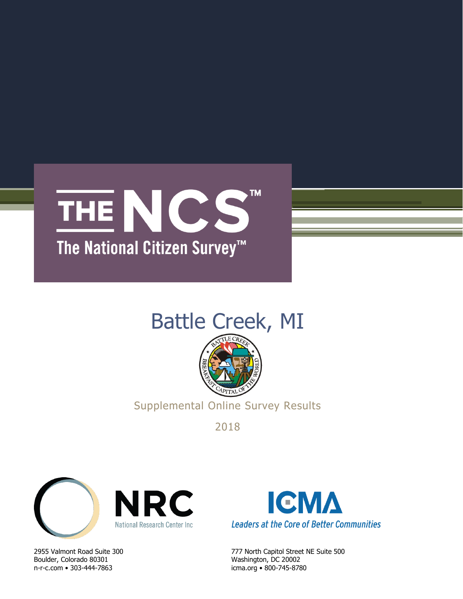

# Battle Creek, MI



Supplemental Online Survey Results

2018



Boulder, Colorado 80301 Washington, DC 20002 n-r-c.com • 303-444-7863 icma.org • 800-745-8780



2955 Valmont Road Suite 300 777 North Capitol Street NE Suite 500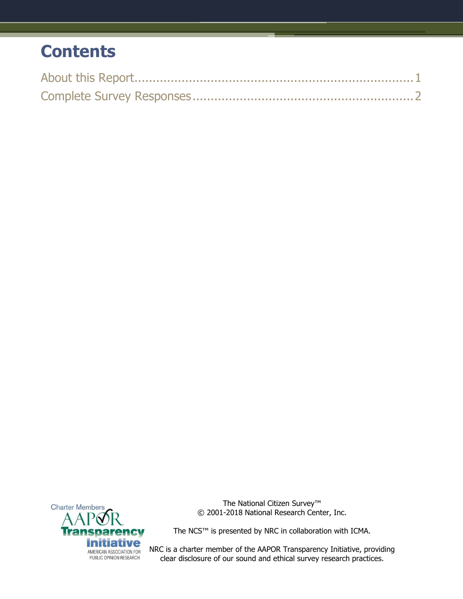# **Contents**



The National Citizen Survey™ © 2001-2018 National Research Center, Inc.

The NCS™ is presented by NRC in collaboration with ICMA.

NRC is a charter member of the AAPOR Transparency Initiative, providing clear disclosure of our sound and ethical survey research practices.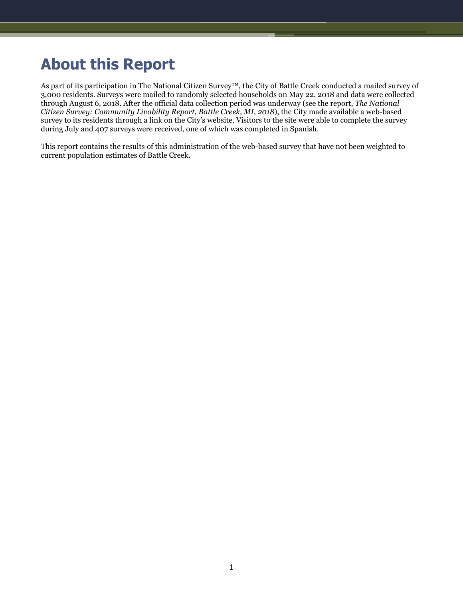# <span id="page-2-0"></span>**About this Report**

As part of its participation in The National Citizen Survey™, the City of Battle Creek conducted a mailed survey of 3,000 residents. Surveys were mailed to randomly selected households on May 22, 2018 and data were collected through August 6, 2018. After the official data collection period was underway (see the report, *The National Citizen Survey: Community Livability Report, Battle Creek, MI, 2018*), the City made available a web-based survey to its residents through a link on the City's website. Visitors to the site were able to complete the survey during July and 407 surveys were received, one of which was completed in Spanish.

This report contains the results of this administration of the web-based survey that have not been weighted to current population estimates of Battle Creek.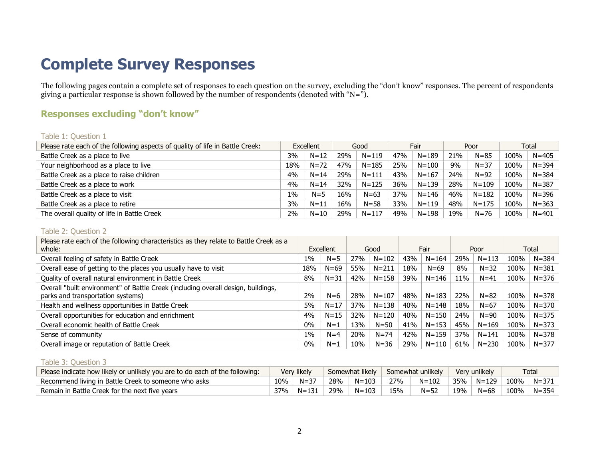# **Complete Survey Responses**

The following pages contain a complete set of responses to each question on the survey, excluding the "don't know" responses. The percent of respondents giving a particular response is shown followed by the number of respondents (denoted with "N=").

# **Responses excluding "don't know"**

#### Table 1: Question 1

| Please rate each of the following aspects of quality of life in Battle Creek: | Excellent |          |     | Good      |     | Fair      |     | Poor      | Total |           |
|-------------------------------------------------------------------------------|-----------|----------|-----|-----------|-----|-----------|-----|-----------|-------|-----------|
| Battle Creek as a place to live                                               | 3%        | $N = 12$ | 29% | $N = 119$ | 47% | $N = 189$ | 21% | $N = 85$  | 100%  | $N = 405$ |
| Your neighborhood as a place to live                                          | 18%       | $N = 72$ | 47% | $N = 185$ | 25% | $N = 100$ | 9%  | $N = 37$  | 100%  | $N = 394$ |
| Battle Creek as a place to raise children                                     | 4%        | $N = 14$ | 29% | $N = 111$ | 43% | $N = 167$ | 24% | $N=92$    | 100%  | $N = 384$ |
| Battle Creek as a place to work                                               | 4%        | $N = 14$ | 32% | $N = 125$ | 36% | $N = 139$ | 28% | $N = 109$ | 100%  | $N = 387$ |
| Battle Creek as a place to visit                                              | $1\%$     | $N = 5$  | 16% | $N = 63$  | 37% | $N = 146$ | 46% | $N = 182$ | 100%  | N=396     |
| Battle Creek as a place to retire                                             | 3%        | $N = 11$ | 16% | $N = 58$  | 33% | $N = 119$ | 48% | $N = 175$ | 100%  | $N = 363$ |
| The overall quality of life in Battle Creek                                   | 2%        | $N=10$   | 29% | $N = 117$ | 49% | $N = 198$ | 19% | $N = 76$  | 100%  | $N = 401$ |

#### <span id="page-3-0"></span>Table 2: Question 2

| Please rate each of the following characteristics as they relate to Battle Creek as a<br>whole:                        | Excellent |          | Good |           | Fair |           |     | Poor      | Total |           |
|------------------------------------------------------------------------------------------------------------------------|-----------|----------|------|-----------|------|-----------|-----|-----------|-------|-----------|
| Overall feeling of safety in Battle Creek                                                                              | $1\%$     | $N = 5$  | 27%  | $N = 102$ | 43%  | $N = 164$ | 29% | $N = 113$ | 100%  | $N = 384$ |
| Overall ease of getting to the places you usually have to visit                                                        | 18%       | $N = 69$ | 55%  | $N = 211$ | 18%  | $N = 69$  | 8%  | $N = 32$  | 100%  | $N = 381$ |
| Quality of overall natural environment in Battle Creek                                                                 | 8%        | $N = 31$ | 42%  | $N = 158$ | 39%  | $N = 146$ | 11% | $N = 41$  | 100%  | N=376     |
| Overall "built environment" of Battle Creek (including overall design, buildings,<br>parks and transportation systems) | 2%        | $N=6$    | 28%  | $N = 107$ | 48%  | $N = 183$ | 22% | $N = 82$  | 100%  | N=378     |
| Health and wellness opportunities in Battle Creek                                                                      | 5%        | $N = 17$ | 37%  | $N = 138$ | 40%  | $N = 148$ | 18% | $N = 67$  | 100%  | $N = 370$ |
| Overall opportunities for education and enrichment                                                                     | 4%        | $N = 15$ | 32%  | $N = 120$ | 40%  | $N = 150$ | 24% | $N = 90$  | 100%  | $N = 375$ |
| Overall economic health of Battle Creek                                                                                | $0\%$     | $N=1$    | 13%  | $N = 50$  | 41%  | $N = 153$ | 45% | $N = 169$ | 100%  | $N = 373$ |
| Sense of community                                                                                                     | $1\%$     | $N=4$    | 20%  | $N = 74$  | 42%  | $N = 159$ | 37% | $N = 141$ | 100%  | $N = 378$ |
| Overall image or reputation of Battle Creek                                                                            | $0\%$     | $N=1$    | 10%  | $N = 36$  | 29%  | $N = 110$ | 61% | $N = 230$ | 100%  | $N = 377$ |

#### Table 3: Question 3

| Please indicate how likely or unlikely you are to do each of the following: | Very likely |           | Somewhat likely |           |     | Somewhat unlikely |     | Very unlikely | Tota.        |                 |  |
|-----------------------------------------------------------------------------|-------------|-----------|-----------------|-----------|-----|-------------------|-----|---------------|--------------|-----------------|--|
| Recommend living in Battle Creek to someone who asks                        | 10%         | $N = 37$  | 28%             | ≒ N=103 ⊹ | 27% | N=102             |     | 35%   N=129   | 100%   N=371 |                 |  |
| Remain in Battle Creek for the next five vears                              | 37%         | $N = 131$ | 29%             | N=103     | 15% | $N = 52$          | 19% | N=68          |              | $100\%$   N=354 |  |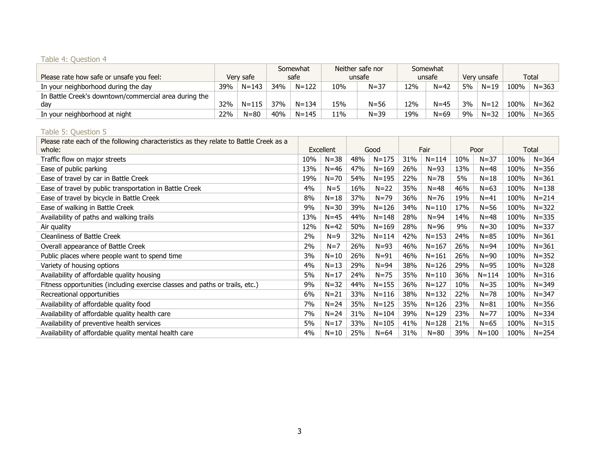# Table 4: Question 4

| Please rate how safe or unsafe you feel:                     |            | Very safe | Somewhat<br>safe |           |     | Neither safe nor<br>unsafe |     | Somewhat<br>unsafe |    | Verv unsafe |      | Total     |
|--------------------------------------------------------------|------------|-----------|------------------|-----------|-----|----------------------------|-----|--------------------|----|-------------|------|-----------|
| In your neighborhood during the day                          | 39%        | $N = 143$ | 34%              | $N = 122$ | 10% | $N = 37$                   | 12% | $N = 42$           | 5% | $N = 19$    | 100% | $N = 363$ |
| In Battle Creek's downtown/commercial area during the<br>dav | <b>32%</b> | $N = 115$ | 37%              | $N = 134$ | 15% | $N = 56$                   | 12% | $N = 45$           | 3% | $N = 12$    | 100% | $N = 362$ |
| In your neighborhood at night                                | 22%        | $N = 80$  | 40%              | $N = 145$ | 11% | $N = 39$                   | 19% | $N = 69$           | 9% | $N = 32$    | 100% | $N = 365$ |

#### Table 5: Question 5

| Please rate each of the following characteristics as they relate to Battle Creek as a<br>whole: | Excellent |          | Good |           | Fair |           |     | Poor      | Total |           |
|-------------------------------------------------------------------------------------------------|-----------|----------|------|-----------|------|-----------|-----|-----------|-------|-----------|
| Traffic flow on major streets                                                                   | 10%       | $N = 38$ | 48%  | $N = 175$ | 31%  | $N = 114$ | 10% | $N = 37$  | 100%  | $N = 364$ |
| Ease of public parking                                                                          | 13%       | $N = 46$ | 47%  | $N = 169$ | 26%  | $N = 93$  | 13% | $N = 48$  | 100%  | $N = 356$ |
| Ease of travel by car in Battle Creek                                                           | 19%       | $N = 70$ | 54%  | $N = 195$ | 22%  | $N = 78$  | 5%  | $N = 18$  | 100%  | $N = 361$ |
| Ease of travel by public transportation in Battle Creek                                         | 4%        | $N = 5$  | 16%  | $N=22$    | 35%  | $N = 48$  | 46% | $N = 63$  | 100%  | $N = 138$ |
| Ease of travel by bicycle in Battle Creek                                                       | 8%        | $N = 18$ | 37%  | $N = 79$  | 36%  | $N = 76$  | 19% | $N = 41$  | 100%  | $N = 214$ |
| Ease of walking in Battle Creek                                                                 | 9%        | $N = 30$ | 39%  | $N = 126$ | 34%  | $N = 110$ | 17% | $N = 56$  | 100%  | $N = 322$ |
| Availability of paths and walking trails                                                        | 13%       | $N=45$   | 44%  | $N = 148$ | 28%  | $N = 94$  | 14% | $N = 48$  | 100%  | $N = 335$ |
| Air quality                                                                                     | 12%       | $N=42$   | 50%  | $N = 169$ | 28%  | $N = 96$  | 9%  | $N = 30$  | 100%  | $N = 337$ |
| <b>Cleanliness of Battle Creek</b>                                                              | 2%        | $N=9$    | 32%  | $N = 114$ | 42%  | $N = 153$ | 24% | $N = 85$  | 100%  | $N = 361$ |
| Overall appearance of Battle Creek                                                              | 2%        | $N=7$    | 26%  | $N = 93$  | 46%  | $N = 167$ | 26% | $N = 94$  | 100%  | $N = 361$ |
| Public places where people want to spend time                                                   | 3%        | $N=10$   | 26%  | $N = 91$  | 46%  | $N = 161$ | 26% | $N = 90$  | 100%  | $N = 352$ |
| Variety of housing options                                                                      | 4%        | $N = 13$ | 29%  | $N = 94$  | 38%  | $N = 126$ | 29% | $N = 95$  | 100%  | $N = 328$ |
| Availability of affordable quality housing                                                      | 5%        | $N=17$   | 24%  | $N = 75$  | 35%  | $N = 110$ | 36% | $N = 114$ | 100%  | $N = 316$ |
| Fitness opportunities (including exercise classes and paths or trails, etc.)                    | 9%        | $N = 32$ | 44%  | $N = 155$ | 36%  | $N = 127$ | 10% | $N = 35$  | 100%  | $N = 349$ |
| Recreational opportunities                                                                      | 6%        | $N = 21$ | 33%  | $N = 116$ | 38%  | $N = 132$ | 22% | $N = 78$  | 100%  | $N = 347$ |
| Availability of affordable quality food                                                         | 7%        | $N = 24$ | 35%  | $N = 125$ | 35%  | $N = 126$ | 23% | $N = 81$  | 100%  | $N = 356$ |
| Availability of affordable quality health care                                                  | 7%        | $N = 24$ | 31%  | $N = 104$ | 39%  | $N = 129$ | 23% | $N = 77$  | 100%  | $N = 334$ |
| Availability of preventive health services                                                      | 5%        | $N=17$   | 33%  | $N = 105$ | 41%  | $N = 128$ | 21% | $N = 65$  | 100%  | $N = 315$ |
| Availability of affordable quality mental health care                                           | 4%        | $N=10$   | 25%  | $N=64$    | 31%  | $N = 80$  | 39% | $N = 100$ | 100%  | $N = 254$ |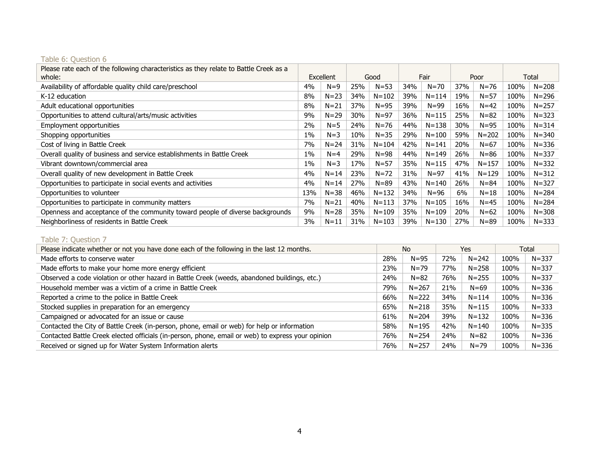| Please rate each of the following characteristics as they relate to Battle Creek as a |       |           |     |           |     |           |     |           |      |           |
|---------------------------------------------------------------------------------------|-------|-----------|-----|-----------|-----|-----------|-----|-----------|------|-----------|
| whole:                                                                                |       | Excellent |     | Good      |     | Fair      |     | Poor      |      | Total     |
| Availability of affordable quality child care/preschool                               | 4%    | $N=9$     | 25% | $N = 53$  | 34% | $N = 70$  | 37% | $N = 76$  | 100% | $N = 208$ |
| K-12 education                                                                        | 8%    | $N = 23$  | 34% | $N = 102$ | 39% | $N = 114$ | 19% | $N = 57$  | 100% | $N = 296$ |
| Adult educational opportunities                                                       | 8%    | $N = 21$  | 37% | $N = 95$  | 39% | $N = 99$  | 16% | $N = 42$  | 100% | $N = 257$ |
| Opportunities to attend cultural/arts/music activities                                | 9%    | $N = 29$  | 30% | $N = 97$  | 36% | $N = 115$ | 25% | $N = 82$  | 100% | $N = 323$ |
| Employment opportunities                                                              | 2%    | $N = 5$   | 24% | $N = 76$  | 44% | $N = 138$ | 30% | N=95      | 100% | $N = 314$ |
| Shopping opportunities                                                                | 1%    | $N = 3$   | 10% | $N = 35$  | 29% | $N = 100$ | 59% | $N = 202$ | 100% | $N = 340$ |
| Cost of living in Battle Creek                                                        | 7%    | $N = 24$  | 31% | $N = 104$ | 42% | $N = 141$ | 20% | $N = 67$  | 100% | $N = 336$ |
| Overall quality of business and service establishments in Battle Creek                | $1\%$ | $N = 4$   | 29% | $N = 98$  | 44% | $N = 149$ | 26% | $N = 86$  | 100% | $N = 337$ |
| Vibrant downtown/commercial area                                                      | 1%    | $N = 3$   | 17% | $N = 57$  | 35% | $N = 115$ | 47% | $N = 157$ | 100% | $N = 332$ |
| Overall quality of new development in Battle Creek                                    | 4%    | $N = 14$  | 23% | $N = 72$  | 31% | $N = 97$  | 41% | $N = 129$ | 100% | $N = 312$ |
| Opportunities to participate in social events and activities                          | 4%    | $N = 14$  | 27% | $N = 89$  | 43% | $N = 140$ | 26% | $N = 84$  | 100% | $N = 327$ |
| Opportunities to volunteer                                                            | 13%   | $N = 38$  | 46% | $N = 132$ | 34% | $N=96$    | 6%  | $N = 18$  | 100% | $N = 284$ |
| Opportunities to participate in community matters                                     | 7%    | $N = 21$  | 40% | $N = 113$ | 37% | $N = 105$ | 16% | $N = 45$  | 100% | $N = 284$ |
| Openness and acceptance of the community toward people of diverse backgrounds         | 9%    | $N = 28$  | 35% | $N = 109$ | 35% | $N = 109$ | 20% | $N = 62$  | 100% | $N = 308$ |
| Neighborliness of residents in Battle Creek                                           | 3%    | $N = 11$  | 31% | $N = 103$ | 39% | $N = 130$ | 27% | $N = 89$  | 100% | $N = 333$ |

#### Table 6: Question 6

# Table 7: Question 7

| Please indicate whether or not you have done each of the following in the last 12 months.         |     | No.       |     | Yes       |      | Total     |
|---------------------------------------------------------------------------------------------------|-----|-----------|-----|-----------|------|-----------|
| Made efforts to conserve water                                                                    | 28% | $N = 95$  | 72% | $N = 242$ | 100% | $N = 337$ |
| Made efforts to make your home more energy efficient                                              | 23% | $N = 79$  | 77% | $N = 258$ | 100% | $N = 337$ |
| Observed a code violation or other hazard in Battle Creek (weeds, abandoned buildings, etc.)      | 24% | $N = 82$  | 76% | $N = 255$ | 100% | $N = 337$ |
| Household member was a victim of a crime in Battle Creek                                          | 79% | $N = 267$ | 21% | $N = 69$  | 100% | $N = 336$ |
| Reported a crime to the police in Battle Creek                                                    | 66% | $N = 222$ | 34% | $N = 114$ | 100% | $N = 336$ |
| Stocked supplies in preparation for an emergency                                                  | 65% | $N = 218$ | 35% | $N = 115$ | 100% | $N = 333$ |
| Campaigned or advocated for an issue or cause                                                     | 61% | $N = 204$ | 39% | $N = 132$ | 100% | $N = 336$ |
| Contacted the City of Battle Creek (in-person, phone, email or web) for help or information       | 58% | $N = 195$ | 42% | $N = 140$ | 100% | $N = 335$ |
| Contacted Battle Creek elected officials (in-person, phone, email or web) to express your opinion | 76% | $N = 254$ | 24% | $N = 82$  | 100% | $N = 336$ |
| Received or signed up for Water System Information alerts                                         | 76% | $N = 257$ | 24% | $N = 79$  | 100% | $N = 336$ |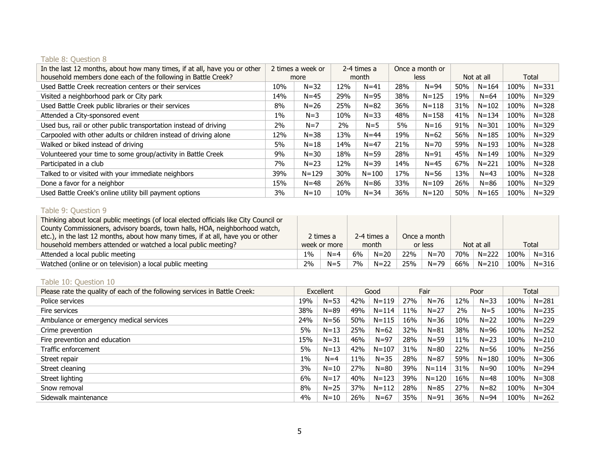# Table 8: Question 8

| In the last 12 months, about how many times, if at all, have you or other | 2 times a week or<br>more |           | 2-4 times a<br>month |           |     | Once a month or |     |            |      |           |
|---------------------------------------------------------------------------|---------------------------|-----------|----------------------|-----------|-----|-----------------|-----|------------|------|-----------|
| household members done each of the following in Battle Creek?             |                           |           |                      |           |     | less            |     | Not at all |      | Total     |
| Used Battle Creek recreation centers or their services                    | 10%                       | $N = 32$  | 12%                  | $N = 41$  | 28% | $N = 94$        | 50% | $N = 164$  | 100% | $N = 331$ |
| Visited a neighborhood park or City park                                  | 14%                       | $N=45$    | 29%                  | $N = 95$  | 38% | $N = 125$       | 19% | $N = 64$   | 100% | $N = 329$ |
| Used Battle Creek public libraries or their services                      | 8%                        | $N = 26$  | 25%                  | $N = 82$  | 36% | $N = 118$       | 31% | $N = 102$  | 100% | $N = 328$ |
| Attended a City-sponsored event                                           | $1\%$                     | $N = 3$   | 10%                  | $N = 33$  | 48% | $N = 158$       | 41% | $N = 134$  | 100% | $N = 328$ |
| Used bus, rail or other public transportation instead of driving          | 2%                        | $N=7$     | $2\%$                | $N=5$     | 5%  | $N = 16$        | 91% | $N = 301$  | 100% | $N = 329$ |
| Carpooled with other adults or children instead of driving alone          | 12%                       | $N = 38$  | 13%                  | $N = 44$  | 19% | $N = 62$        | 56% | $N = 185$  | 100% | $N = 329$ |
| Walked or biked instead of driving                                        | 5%                        | $N = 18$  | 14%                  | $N=47$    | 21% | $N = 70$        | 59% | $N = 193$  | 100% | $N = 328$ |
| Volunteered your time to some group/activity in Battle Creek              | 9%                        | $N = 30$  | 18%                  | $N = 59$  | 28% | $N = 91$        | 45% | $N = 149$  | 100% | $N = 329$ |
| Participated in a club                                                    | 7%                        | $N = 23$  | 12%                  | $N = 39$  | 14% | $N=45$          | 67% | $N = 221$  | 100% | $N = 328$ |
| Talked to or visited with your immediate neighbors                        | 39%                       | $N = 129$ | 30%                  | $N = 100$ | 17% | $N = 56$        | 13% | $N = 43$   | 100% | $N = 328$ |
| Done a favor for a neighbor                                               | 15%                       | $N = 48$  | 26%                  | $N = 86$  | 33% | $N = 109$       | 26% | $N = 86$   | 100% | $N = 329$ |
| Used Battle Creek's online utility bill payment options                   | 3%                        | $N = 10$  | 10%                  | $N = 34$  | 36% | $N = 120$       | 50% | $N = 165$  | 100% | $N = 329$ |

# Table 9: Question 9

| Thinking about local public meetings (of local elected officials like City Council or |       |              |    |             |     |              |     |           |      |            |  |       |
|---------------------------------------------------------------------------------------|-------|--------------|----|-------------|-----|--------------|-----|-----------|------|------------|--|-------|
| County Commissioners, advisory boards, town halls, HOA, neighborhood watch,           |       |              |    |             |     |              |     |           |      |            |  |       |
| etc.), in the last 12 months, about how many times, if at all, have you or other      |       | 2 times a    |    | 2-4 times a |     | Once a month |     |           |      |            |  |       |
| household members attended or watched a local public meeting?                         |       | week or more |    | month       |     |              |     | or less   |      | Not at all |  | Total |
| Attended a local public meeting                                                       | $1\%$ | $N=4$        | 6% | $N=20$      | 22% | $N = 70$     | 70% | $N = 222$ | 100% | $N = 316$  |  |       |
| Watched (online or on television) a local public meeting                              | 2%    | $N=5$        | 7% | $N=22$      | 25% | $N = 79$     | 66% | $N = 210$ | 100% | $N = 316$  |  |       |

## Table 10: Question 10

| Please rate the quality of each of the following services in Battle Creek: | Excellent |          | Good |           | Fair |           |     | Poor      | Total |           |
|----------------------------------------------------------------------------|-----------|----------|------|-----------|------|-----------|-----|-----------|-------|-----------|
| Police services                                                            | 19%       | $N = 53$ | 42%  | $N = 119$ | 27%  | $N = 76$  | 12% | $N = 33$  | 100%  | $N = 281$ |
| Fire services                                                              | 38%       | $N = 89$ | 49%  | $N = 114$ | 11%  | $N = 27$  | 2%  | $N = 5$   | 100%  | $N = 235$ |
| Ambulance or emergency medical services                                    | 24%       | $N = 56$ | 50%  | $N = 115$ | 16%  | $N = 36$  | 10% | $N = 22$  | 100%  | $N = 229$ |
| Crime prevention                                                           | 5%        | $N=13$   | 25%  | $N = 62$  | 32%  | $N = 81$  | 38% | $N = 96$  | 100%  | $N = 252$ |
| Fire prevention and education                                              | 15%       | $N = 31$ | 46%  | $N = 97$  | 28%  | $N = 59$  | 11% | $N = 23$  | 100%  | $N = 210$ |
| Traffic enforcement                                                        | 5%        | $N = 13$ | 42%  | $N = 107$ | 31%  | $N = 80$  | 22% | $N = 56$  | 100%  | $N = 256$ |
| Street repair                                                              | $1\%$     | $N=4$    | 11%  | $N = 35$  | 28%  | $N = 87$  | 59% | $N = 180$ | 100%  | $N = 306$ |
| Street cleaning                                                            | 3%        | $N = 10$ | 27%  | $N = 80$  | 39%  | $N = 114$ | 31% | $N = 90$  | 100%  | $N = 294$ |
| Street lighting                                                            | 6%        | $N=17$   | 40%  | $N = 123$ | 39%  | $N = 120$ | 16% | $N = 48$  | 100%  | $N = 308$ |
| Snow removal                                                               | 8%        | $N = 25$ | 37%  | $N = 112$ | 28%  | $N = 85$  | 27% | $N = 82$  | 100%  | $N = 304$ |
| Sidewalk maintenance                                                       | 4%        | $N=10$   | 26%  | $N = 67$  | 35%  | $N = 91$  | 36% | $N = 94$  | 100%  | $N = 262$ |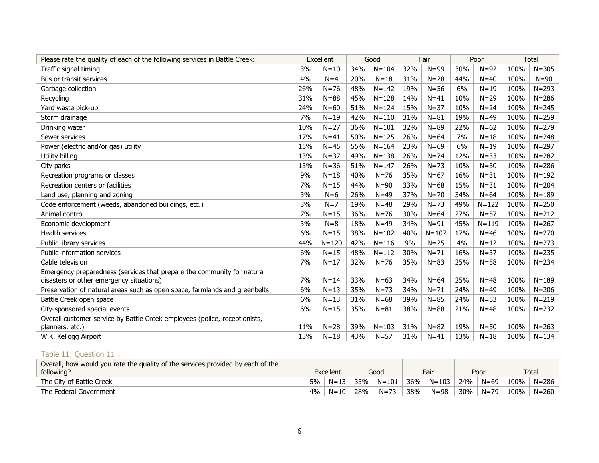| Please rate the quality of each of the following services in Battle Creek: | Excellent |           | Good |           | Fair |           | Poor |           |      | <b>Total</b> |
|----------------------------------------------------------------------------|-----------|-----------|------|-----------|------|-----------|------|-----------|------|--------------|
| Traffic signal timing                                                      | 3%        | $N=10$    | 34%  | $N = 104$ | 32%  | $N = 99$  | 30%  | $N = 92$  | 100% | $N = 305$    |
| Bus or transit services                                                    | 4%        | $N=4$     | 20%  | $N=18$    | 31%  | $N = 28$  | 44%  | $N = 40$  | 100% | $N = 90$     |
| Garbage collection                                                         | 26%       | $N = 76$  | 48%  | $N = 142$ | 19%  | $N = 56$  | 6%   | $N = 19$  | 100% | $N = 293$    |
| Recycling                                                                  | 31%       | $N = 88$  | 45%  | $N = 128$ | 14%  | $N = 41$  | 10%  | $N = 29$  | 100% | $N = 286$    |
| Yard waste pick-up                                                         | 24%       | $N = 60$  | 51%  | $N = 124$ | 15%  | $N = 37$  | 10%  | $N = 24$  | 100% | $N = 245$    |
| Storm drainage                                                             | 7%        | $N = 19$  | 42%  | $N = 110$ | 31%  | $N = 81$  | 19%  | $N = 49$  | 100% | $N = 259$    |
| Drinking water                                                             | 10%       | $N = 27$  | 36%  | $N = 101$ | 32%  | $N = 89$  | 22%  | $N = 62$  | 100% | $N = 279$    |
| Sewer services                                                             | 17%       | $N = 41$  | 50%  | $N = 125$ | 26%  | $N=64$    | 7%   | $N = 18$  | 100% | $N = 248$    |
| Power (electric and/or gas) utility                                        | 15%       | $N=45$    | 55%  | $N = 164$ | 23%  | $N=69$    | 6%   | $N = 19$  | 100% | $N = 297$    |
| Utility billing                                                            | 13%       | $N = 37$  | 49%  | $N = 138$ | 26%  | $N = 74$  | 12%  | $N = 33$  | 100% | $N = 282$    |
| City parks                                                                 | 13%       | $N = 36$  | 51%  | $N = 147$ | 26%  | $N = 73$  | 10%  | $N = 30$  | 100% | $N = 286$    |
| Recreation programs or classes                                             | 9%        | $N=18$    | 40%  | $N = 76$  | 35%  | $N=67$    | 16%  | $N = 31$  | 100% | $N = 192$    |
| Recreation centers or facilities                                           | 7%        | $N = 15$  | 44%  | $N = 90$  | 33%  | $N=68$    | 15%  | $N = 31$  | 100% | $N = 204$    |
| Land use, planning and zoning                                              | 3%        | $N=6$     | 26%  | $N=49$    | 37%  | $N = 70$  | 34%  | $N = 64$  | 100% | $N = 189$    |
| Code enforcement (weeds, abandoned buildings, etc.)                        | 3%        | $N=7$     | 19%  | $N = 48$  | 29%  | $N = 73$  | 49%  | $N = 122$ | 100% | $N = 250$    |
| Animal control                                                             | 7%        | $N = 15$  | 36%  | $N = 76$  | 30%  | $N=64$    | 27%  | $N = 57$  | 100% | $N = 212$    |
| Economic development                                                       | 3%        | $N = 8$   | 18%  | $N=49$    | 34%  | $N = 91$  | 45%  | $N = 119$ | 100% | $N = 267$    |
| Health services                                                            | 6%        | $N=15$    | 38%  | $N = 102$ | 40%  | $N = 107$ | 17%  | $N = 46$  | 100% | $N = 270$    |
| Public library services                                                    | 44%       | $N = 120$ | 42%  | $N = 116$ | 9%   | $N=25$    | 4%   | $N = 12$  | 100% | $N = 273$    |
| Public information services                                                | 6%        | $N=15$    | 48%  | $N = 112$ | 30%  | $N = 71$  | 16%  | $N = 37$  | 100% | $N = 235$    |
| Cable television                                                           | 7%        | $N = 17$  | 32%  | $N = 76$  | 35%  | $N = 83$  | 25%  | $N = 58$  | 100% | $N = 234$    |
| Emergency preparedness (services that prepare the community for natural    |           |           |      |           |      |           |      |           |      |              |
| disasters or other emergency situations)                                   | 7%        | $N=14$    | 33%  | $N=63$    | 34%  | $N = 64$  | 25%  | $N = 48$  | 100% | $N = 189$    |
| Preservation of natural areas such as open space, farmlands and greenbelts | 6%        | $N = 13$  | 35%  | $N = 73$  | 34%  | $N = 71$  | 24%  | $N = 49$  | 100% | $N = 206$    |
| Battle Creek open space                                                    | 6%        | $N=13$    | 31%  | $N = 68$  | 39%  | $N = 85$  | 24%  | $N = 53$  | 100% | $N = 219$    |
| City-sponsored special events                                              | 6%        | $N=15$    | 35%  | $N = 81$  | 38%  | $N = 88$  | 21%  | $N = 48$  | 100% | $N = 232$    |
| Overall customer service by Battle Creek employees (police, receptionists, |           |           |      |           |      |           |      |           |      |              |
| planners, etc.)                                                            | 11%       | $N = 28$  | 39%  | $N = 103$ | 31%  | $N = 82$  | 19%  | $N = 50$  | 100% | $N = 263$    |
| W.K. Kellogg Airport                                                       | 13%       | $N = 18$  | 43%  | $N = 57$  | 31%  | $N = 41$  | 13%  | $N = 18$  | 100% | $N = 134$    |

# Table 11: Question 11

| Overall, how would you rate the quality of the services provided by each of the |           |          |      |           |      |           |      |          |       |           |
|---------------------------------------------------------------------------------|-----------|----------|------|-----------|------|-----------|------|----------|-------|-----------|
| following?                                                                      | Excellent |          | Good |           | Fair |           | Poor |          | Total |           |
| The City of Battle Creek                                                        | 5%        | $N = 13$ | 35%  | $N = 101$ | 36%  | $N = 103$ | 24%  | $N = 69$ | 100%  | $N = 286$ |
| The Federal Government                                                          | 4%        | $N=10$   | 28%  | $N = 73$  | 38%  | $N = 98$  | 30%  | $N = 79$ | 100%  | $N = 260$ |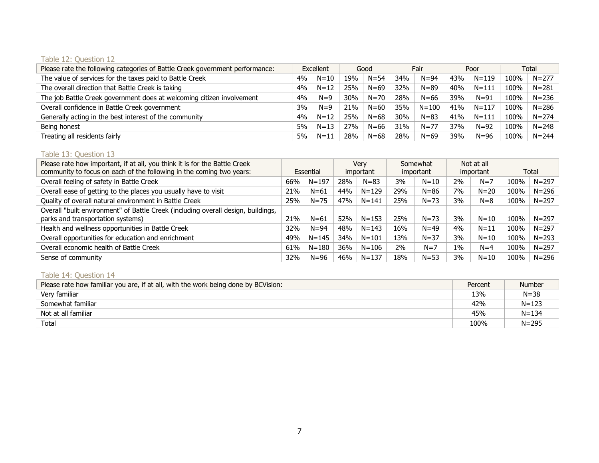## Table 12: Question 12

| Please rate the following categories of Battle Creek government performance: | Excellent |          | Good |          | Fair |           |            | Poor      | Total |           |
|------------------------------------------------------------------------------|-----------|----------|------|----------|------|-----------|------------|-----------|-------|-----------|
| The value of services for the taxes paid to Battle Creek                     | 4%        | $N=10$   | 19%  | $N = 54$ | 34%  | $N = 94$  | 43%        | $N = 119$ | 100%  | $N = 277$ |
| The overall direction that Battle Creek is taking                            | 4%        | $N = 12$ | 25%  | $N = 69$ | 32%  | $N = 89$  | 40%        | $N = 111$ | 100%  | $N = 281$ |
| The job Battle Creek government does at welcoming citizen involvement        | 4%        | $N=9$    | 30%  | $N = 70$ | 28%  | $N = 66$  | 39%        | $N = 91$  | 100%  | $N = 236$ |
| Overall confidence in Battle Creek government                                | 3%        | $N=9$    | 21%  | $N = 60$ | 35%  | $N = 100$ | 41%        | $N = 117$ | 100%  | $N = 286$ |
| Generally acting in the best interest of the community                       | 4%        | $N = 12$ | 25%  | $N = 68$ | 30%  | $N = 83$  | 41%        | $N = 111$ | 100%  | $N = 274$ |
| Being honest                                                                 | 5%        | $N = 13$ | 27%  | $N = 66$ | 31%  | $N=77$    | <b>37%</b> | $N=92$    | 100%  | $N = 248$ |
| Treating all residents fairly                                                | 5%        | $N = 11$ | 28%  | $N = 68$ | 28%  | $N = 69$  | 39%        | $N = 96$  | 100%  | $N = 244$ |

# Table 13: Question 13

| Please rate how important, if at all, you think it is for the Battle Creek        |     |           | Verv |           | Somewhat |           | Not at all |           |      |           |
|-----------------------------------------------------------------------------------|-----|-----------|------|-----------|----------|-----------|------------|-----------|------|-----------|
| community to focus on each of the following in the coming two years:              |     | Essential |      | important |          | important |            | important |      | Total     |
| Overall feeling of safety in Battle Creek                                         | 66% | $N = 197$ | 28%  | $N = 83$  | 3%       | $N = 10$  | 2%         | $N=7$     | 100% | $N = 297$ |
| Overall ease of getting to the places you usually have to visit                   | 21% | $N=61$    | 44%  | $N = 129$ | 29%      | $N = 86$  | 7%         | $N = 20$  | 100% | $N = 296$ |
| Quality of overall natural environment in Battle Creek                            | 25% | $N = 75$  | 47%  | $N = 141$ | 25%      | $N = 73$  | 3%         | $N = 8$   | 100% | $N = 297$ |
| Overall "built environment" of Battle Creek (including overall design, buildings, |     |           |      |           |          |           |            |           |      |           |
| parks and transportation systems)                                                 | 21% | $N = 61$  | 52%  | $N = 153$ | 25%      | $N = 73$  | 3%         | $N = 10$  | 100% | $N = 297$ |
| Health and wellness opportunities in Battle Creek                                 | 32% | $N = 94$  | 48%  | $N = 143$ | 16%      | $N = 49$  | $4\%$      | $N = 11$  | 100% | $N = 297$ |
| Overall opportunities for education and enrichment                                | 49% | $N = 145$ | 34%  | $N = 101$ | 13%      | $N = 37$  | 3%         | $N = 10$  | 100% | $N = 293$ |
| Overall economic health of Battle Creek                                           | 61% | $N = 180$ | 36%  | $N = 106$ | 2%       | $N=7$     | $1\%$      | $N = 4$   | 100% | $N = 297$ |
| Sense of community                                                                | 32% | $N = 96$  | 46%  | $N = 137$ | 18%      | $N = 53$  | 3%         | $N = 10$  | 100% | $N = 296$ |

# Table 14: Question 14

| Please rate how familiar you are, if at all, with the work being done by BCVision: | Percent | <b>Number</b> |
|------------------------------------------------------------------------------------|---------|---------------|
| Very familiar                                                                      | 13%     | $N = 38$      |
| Somewhat familiar                                                                  | 42%     | $N = 123$     |
| Not at all familiar                                                                | 45%     | $N = 134$     |
| Total                                                                              | 100%    | $N = 295$     |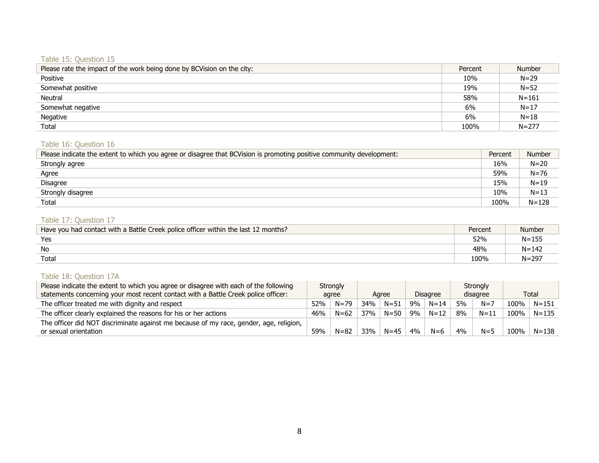# Table 15: Question 15

| Please rate the impact of the work being done by BCVision on the city: | Percent | <b>Number</b> |
|------------------------------------------------------------------------|---------|---------------|
| Positive                                                               | 10%     | $N = 29$      |
| Somewhat positive                                                      | 19%     | $N = 52$      |
| Neutral                                                                | 58%     | $N = 161$     |
| Somewhat negative                                                      | 6%      | $N = 17$      |
| Negative                                                               | 6%      | $N = 18$      |
| Total                                                                  | 100%    | $N = 277$     |

## Table 16: Question 16

| Please indicate the extent to which you agree or disagree that BCVision is promoting positive community development: | Percent | Number    |
|----------------------------------------------------------------------------------------------------------------------|---------|-----------|
| Strongly agree                                                                                                       | 16%     | $N = 20$  |
| Agree                                                                                                                | 59%     | $N = 76$  |
| <b>Disagree</b>                                                                                                      | 15%     | $N = 19$  |
| Strongly disagree                                                                                                    | 10%     | $N = 13$  |
| Total                                                                                                                | 100%    | $N = 128$ |

# Table 17: Question 17

| Have you had contact with a Battle Creek police officer within the last 12 months? | Percent | Number    |
|------------------------------------------------------------------------------------|---------|-----------|
| Yes                                                                                | 52%     | $N = 155$ |
| <b>No</b>                                                                          | 48%     | $N = 142$ |
| Total                                                                              | 100%    | $N = 297$ |

# Table 18: Question 17A

| Please indicate the extent to which you agree or disagree with each of the following   |       | <b>Strongly</b> |       |          |                 |          |          | Strongly |      |           |
|----------------------------------------------------------------------------------------|-------|-----------------|-------|----------|-----------------|----------|----------|----------|------|-----------|
| statements concerning your most recent contact with a Battle Creek police officer:     | agree |                 | Agree |          | <b>Disagree</b> |          | disagree |          |      | Total     |
| The officer treated me with dignity and respect                                        | 52%   | $N = 79$        | 34%   | $N = 51$ | 9%              | $N = 14$ | 5%       | $N=7$    | 100% | $N = 151$ |
| The officer clearly explained the reasons for his or her actions                       | 46%   | $N = 62$        | 37%   | $N = 50$ | 9%              | $N = 12$ | 8%       | $N = 11$ | 100% | $N = 135$ |
| The officer did NOT discriminate against me because of my race, gender, age, religion, |       |                 |       |          |                 |          |          |          |      |           |
| or sexual orientation                                                                  | 59%   | $N = 82$        | 33%   | $N = 45$ | 4%              | $N = 6$  | 4%       | $N = 5$  | 100% | $N = 138$ |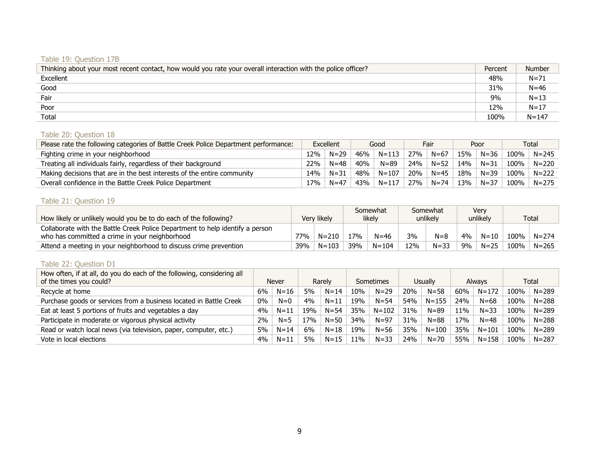# Table 19: Question 17B

| Thinking about your most recent contact, how would you rate your overall interaction with the police officer? | Percent | <b>Number</b> |
|---------------------------------------------------------------------------------------------------------------|---------|---------------|
| Excellent                                                                                                     | 48%     | $N = 71$      |
| Good                                                                                                          | 31%     | $N = 46$      |
| Fair                                                                                                          | 9%      | $N = 13$      |
| Poor                                                                                                          | 12%     | $N = 17$      |
| Total                                                                                                         | 100%    | $N = 147$     |

# Table 20: Question 18

| Please rate the following categories of Battle Creek Police Department performance: | Excellent |          | Good |           |     | Fair     | Poor |          | Total   |           |
|-------------------------------------------------------------------------------------|-----------|----------|------|-----------|-----|----------|------|----------|---------|-----------|
| Fighting crime in your neighborhood                                                 | 12%       | $N=29$   | 46%  | $N = 113$ | 27% | $N = 67$ | 15%  | $N = 36$ | 100%    | $N = 245$ |
| Treating all individuals fairly, regardless of their background                     | 22%       | $N = 48$ | 40%  | $N = 89$  | 24% | $N = 52$ | 14%  | $N = 31$ | 100%    | $N = 220$ |
| Making decisions that are in the best interests of the entire community             | 14%       | $N = 31$ | 48%  | $N = 107$ | 20% | $N = 45$ | 18%  | $N = 39$ | $100\%$ | $N = 222$ |
| Overall confidence in the Battle Creek Police Department                            | 17% ነ     | $N = 47$ | 43%  | $N = 117$ | 27% | $N = 74$ | 13%  | $N = 37$ | 100%    | $N = 275$ |

# Table 21: Question 19

|                                                                               | Somewhat    |           |                |           | Somewhat |          | Verv     |          |      |              |
|-------------------------------------------------------------------------------|-------------|-----------|----------------|-----------|----------|----------|----------|----------|------|--------------|
| How likely or unlikely would you be to do each of the following?              | Verv likely |           | likely         |           | unlikely |          | unlikely |          |      | <b>Total</b> |
| Collaborate with the Battle Creek Police Department to help identify a person |             |           |                |           |          |          |          |          |      |              |
| who has committed a crime in your neighborhood                                | 77%         | $N = 210$ | <sup>17%</sup> | $N = 46$  | 3%       | $N = 8$  | 4%       | $N = 10$ | 100% | $N = 274$    |
| Attend a meeting in your neighborhood to discuss crime prevention             | 39%         | $N = 103$ | 39%            | $N = 104$ | 12%      | $N = 33$ | 9%       | $N = 25$ | 100% | $N = 265$    |

# Table 22: Question D1

| How often, if at all, do you do each of the following, considering all<br>of the times you could? | Never |          | Rarely |          | Sometimes |           | <b>Usually</b> |           | <b>Always</b> |           |      | Total     |
|---------------------------------------------------------------------------------------------------|-------|----------|--------|----------|-----------|-----------|----------------|-----------|---------------|-----------|------|-----------|
| Recycle at home                                                                                   | 6%    | $N = 16$ | 5%     | $N = 14$ | 10%       | $N = 29$  | 20%            | $N = 58$  | 60%           | N=172     | 100% | $N = 289$ |
| Purchase goods or services from a business located in Battle Creek                                | $0\%$ | $N=0$    | 4%     | $N = 11$ | 19%       | $N = 54$  | 54%            | $N = 155$ | 24%           | $N = 68$  | 100% | $N = 288$ |
| Eat at least 5 portions of fruits and vegetables a day                                            | 4%    | $N = 11$ | 19%    | $N = 54$ | 35%       | $N = 102$ | 31%            | $N = 89$  | 11%           | $N = 33$  | 100% | $N = 289$ |
| Participate in moderate or vigorous physical activity                                             | 2%    | $N = 5$  | 17%    | $N = 50$ | 34%       | $N = 97$  | 31%            | $N = 88$  | 17%           | $N = 48$  | 100% | $N = 288$ |
| Read or watch local news (via television, paper, computer, etc.)                                  | 5%    | $N = 14$ | 6%     | $N = 18$ | 19%       | $N = 56$  | 35%            | $N = 100$ | 35%           | $N = 101$ | 100% | $N = 289$ |
| Vote in local elections                                                                           | 4%    | $N = 11$ | 5%     | $N = 15$ | 11%       | $N = 33$  | 24%            | $N = 70$  | 55%           | $N = 158$ | 100% | $N = 287$ |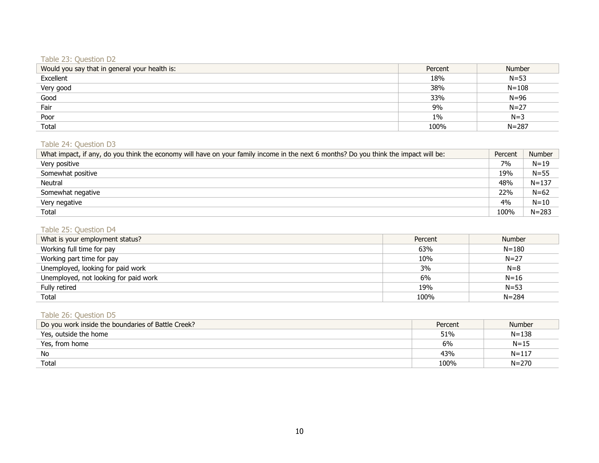# Table 23: Question D2

| Would you say that in general your health is: | Percent | <b>Number</b> |
|-----------------------------------------------|---------|---------------|
| Excellent                                     | 18%     | $N = 53$      |
| Very good                                     | 38%     | $N = 108$     |
| Good                                          | 33%     | $N = 96$      |
| Fair                                          | 9%      | $N = 27$      |
| Poor                                          | $1\%$   | $N=3$         |
| Total                                         | 100%    | $N = 287$     |

# Table 24: Question D3

| What impact, if any, do you think the economy will have on your family income in the next 6 months? Do you think the impact will be: | Percent | <b>Number</b> |
|--------------------------------------------------------------------------------------------------------------------------------------|---------|---------------|
| Very positive                                                                                                                        | 7%      | $N = 19$      |
| Somewhat positive                                                                                                                    | 19%     | $N = 55$      |
| Neutral                                                                                                                              | 48%     | $N = 137$     |
| Somewhat negative                                                                                                                    | 22%     | $N = 62$      |
| Very negative                                                                                                                        | 4%      | $N = 10$      |
| Total                                                                                                                                | 100%    | $N = 283$     |

# Table 25: Question D4

| What is your employment status?       | Percent | <b>Number</b> |
|---------------------------------------|---------|---------------|
| Working full time for pay             | 63%     | $N = 180$     |
| Working part time for pay             | 10%     | $N = 27$      |
| Unemployed, looking for paid work     | 3%      | $N=8$         |
| Unemployed, not looking for paid work | 6%      | $N = 16$      |
| Fully retired                         | 19%     | $N = 53$      |
| Total                                 | 100%    | $N = 284$     |

# Table 26: Question D5

| Do you work inside the boundaries of Battle Creek? | Percent | <b>Number</b> |
|----------------------------------------------------|---------|---------------|
| Yes, outside the home                              | 51%     | $N = 138$     |
| Yes, from home                                     | 6%      | $N = 15$      |
| No                                                 | 43%     | $N = 117$     |
| Total                                              | 100%    | $N = 270$     |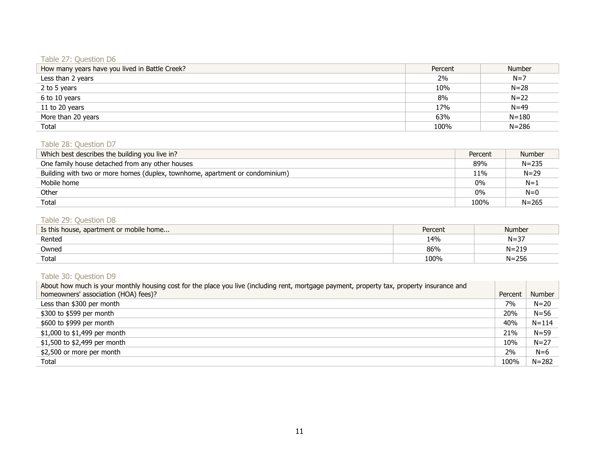# Table 27: Question D6

| How many years have you lived in Battle Creek? | Percent | <b>Number</b> |
|------------------------------------------------|---------|---------------|
| Less than 2 years                              | 2%      | $N=7$         |
| 2 to 5 years                                   | 10%     | $N = 28$      |
| 6 to 10 years                                  | 8%      | $N=22$        |
| 11 to 20 years                                 | 17%     | $N = 49$      |
| More than 20 years                             | 63%     | $N = 180$     |
| Total                                          | 100%    | $N = 286$     |

## Table 28: Question D7

| Which best describes the building you live in?                               | Percent | <b>Number</b> |
|------------------------------------------------------------------------------|---------|---------------|
| One family house detached from any other houses                              | 89%     | $N = 235$     |
| Building with two or more homes (duplex, townhome, apartment or condominium) | 11%     | $N = 29$      |
| Mobile home                                                                  | $0\%$   | $N=1$         |
| Other                                                                        | $0\%$   | $N=0$         |
| Total                                                                        | 100%    | $N = 265$     |

# Table 29: Question D8

| Is this house, apartment or mobile home | Percent | Number    |
|-----------------------------------------|---------|-----------|
| Rented                                  | 14%     | $N = 37$  |
| Owned                                   | 86%     | $N = 219$ |
| Total                                   | 100%    | $N = 256$ |

# Table 30: Question D9

| About how much is your monthly housing cost for the place you live (including rent, mortgage payment, property tax, property insurance and |         |           |
|--------------------------------------------------------------------------------------------------------------------------------------------|---------|-----------|
| homeowners' association (HOA) fees)?                                                                                                       | Percent | Number    |
| Less than \$300 per month                                                                                                                  | 7%      | $N = 20$  |
| \$300 to \$599 per month                                                                                                                   | 20%     | $N = 56$  |
| \$600 to \$999 per month                                                                                                                   | 40%     | $N = 114$ |
| \$1,000 to \$1,499 per month                                                                                                               | 21%     | $N = 59$  |
| \$1,500 to \$2,499 per month                                                                                                               | 10%     | $N = 27$  |
| \$2,500 or more per month                                                                                                                  | 2%      | $N=6$     |
| Total                                                                                                                                      | 100%    | $N = 282$ |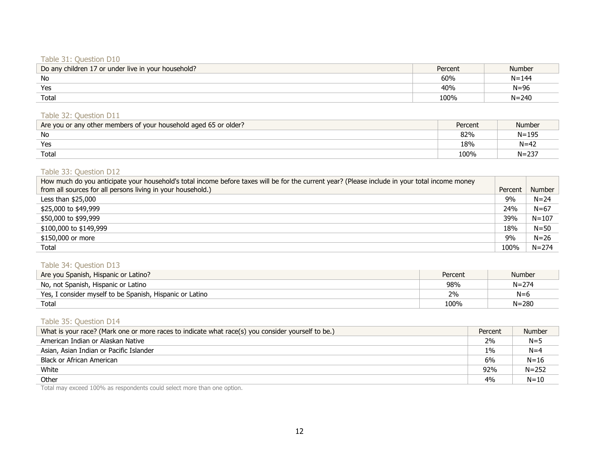#### Table 31: Question D10

| Do any children 17 or under live in your household? | Percent | <b>Number</b> |
|-----------------------------------------------------|---------|---------------|
| No                                                  | 60%     | $N = 144$     |
| Yes                                                 | 40%     | $N = 96$      |
| Total                                               | 100%    | $N = 240$     |

#### Table 32: Question D11

| Are you or any other members of your household aged 65 or older? | Percent | Number    |
|------------------------------------------------------------------|---------|-----------|
| No                                                               | 82%     | $N = 195$ |
| Yes                                                              | 18%     | $N=42$    |
| Total                                                            | 100%    | $N = 237$ |

#### Table 33: Question D12

| How much do you anticipate your household's total income before taxes will be for the current year? (Please include in your total income money |         |               |
|------------------------------------------------------------------------------------------------------------------------------------------------|---------|---------------|
| from all sources for all persons living in your household.)                                                                                    | Percent | <b>Number</b> |
| Less than $$25,000$                                                                                                                            | 9%      | $N = 24$      |
| \$25,000 to \$49,999                                                                                                                           | 24%     | $N = 67$      |
| \$50,000 to \$99,999                                                                                                                           | 39%     | $N = 107$     |
| \$100,000 to \$149,999                                                                                                                         | 18%     | $N = 50$      |
| \$150,000 or more                                                                                                                              | 9%      | $N = 26$      |
| Total                                                                                                                                          | 100%    | $N = 274$     |

#### Table 34: Question D13

| Are you Spanish, Hispanic or Latino?                     | Percent | <b>Number</b> |
|----------------------------------------------------------|---------|---------------|
| No, not Spanish, Hispanic or Latino                      | 98%     | $N = 274$     |
| Yes, I consider myself to be Spanish, Hispanic or Latino | 2%      | $N=6$         |
| Total                                                    | 100%    | $N = 280$     |

# Table 35: Question D14

| What is your race? (Mark one or more races to indicate what race(s) you consider yourself to be.) | Percent | <b>Number</b> |
|---------------------------------------------------------------------------------------------------|---------|---------------|
| American Indian or Alaskan Native                                                                 | 2%      | $N = 5$       |
| Asian, Asian Indian or Pacific Islander                                                           | $1\%$   | $N=4$         |
| Black or African American                                                                         | 6%      | $N = 16$      |
| White                                                                                             | 92%     | $N = 252$     |
| Other                                                                                             | 4%      | $N = 10$      |

Total may exceed 100% as respondents could select more than one option.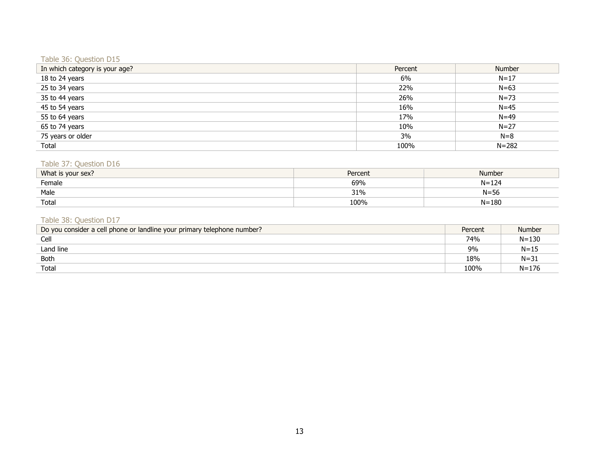#### Table 36: Question D15

| In which category is your age? | Percent | Number    |
|--------------------------------|---------|-----------|
| 18 to 24 years                 | 6%      | $N = 17$  |
| 25 to 34 years                 | 22%     | $N = 63$  |
| 35 to 44 years                 | 26%     | $N = 73$  |
| 45 to 54 years                 | 16%     | $N = 45$  |
| 55 to 64 years                 | 17%     | $N = 49$  |
| 65 to 74 years                 | 10%     | $N = 27$  |
| 75 years or older              | 3%      | $N=8$     |
| Total                          | 100%    | $N = 282$ |

#### Table 37: Question D16

| What is your sex? | Percent | Number    |
|-------------------|---------|-----------|
| Female            | 69%     | $N = 124$ |
| Male              | 31%     | $N = 56$  |
| Totai             | 100%    | $N = 180$ |

# Table 38: Question D17

| Do you consider a cell phone or landline your primary telephone number? | Percent | Number    |
|-------------------------------------------------------------------------|---------|-----------|
| Cell                                                                    | 74%     | $N = 130$ |
| Land line                                                               | 9%      | $N = 15$  |
| Both                                                                    | 18%     | $N = 31$  |
| Total                                                                   | 100%    | $N = 176$ |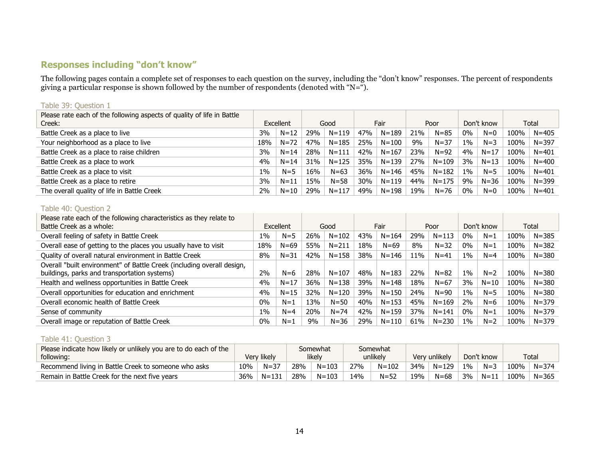# **Responses including "don't know"**

The following pages contain a complete set of responses to each question on the survey, including the "don't know" responses. The percent of respondents giving a particular response is shown followed by the number of respondents (denoted with "N=").

#### Please rate each of the following aspects of quality of life in Battle Creek: Excellent Good Fair Poor Don't know Total Battle Creek as a place to live  $3\%$  N=12 29% N=12 39% N=119 47% N=189 21% N=85 0% N=0 100% N=405 Your neighborhood as a place to live  $18\%$  N=72 47% N=185 25% N=100 9% N=37 1% N=3 100% N=397 Battle Creek as a place to raise children  $3\%$  N=14 28% N=111 42% N=167 23% N=92 4% N=17 100% N=401 Battle Creek as a place to work  $4\%$  N=14 31% N=14 31% N=125 35% N=139 27% N=109 3% N=13 100% N=400 Battle Creek as a place to visit  $1\%$  N=5  $\parallel$  1% N=5  $\parallel$  16%  $\parallel$  N=63  $\parallel$  36%  $\parallel$  N=146  $\parallel$  45%  $\parallel$  N=182  $\parallel$  1%  $\parallel$  N=5  $\parallel$  100%  $\parallel$  N=401 Battle Creek as a place to retire  $3\%$  N=11 | 15% | N=58 | 30% | N=119 | 44% | N=175 | 9% | N=36 | 100% | N=399 The overall quality of life in Battle Creek 200 | 29% | N=10 | 29% | N=117 | 49% | N=198 | 19% | N=76 | 0% | N=0 | 100% | N=401

#### Table 39: Question 1

#### Table 40: Question 2

| Please rate each of the following characteristics as they relate to<br>Battle Creek as a whole: |       | Excellent |     | Good      |     | Fair      |     | Poor      |       | Don't know |      | Total     |
|-------------------------------------------------------------------------------------------------|-------|-----------|-----|-----------|-----|-----------|-----|-----------|-------|------------|------|-----------|
|                                                                                                 |       |           |     |           |     |           |     |           |       |            |      |           |
| Overall feeling of safety in Battle Creek                                                       | $1\%$ | $N=5$     | 26% | $N = 102$ | 43% | $N = 164$ | 29% | $N = 113$ | $0\%$ | $N=1$      | 100% | $N = 385$ |
| Overall ease of getting to the places you usually have to visit                                 | 18%   | $N = 69$  | 55% | $N = 211$ | 18% | $N = 69$  | 8%  | $N = 32$  | 0%    | $N=1$      | 100% | $N = 382$ |
| Quality of overall natural environment in Battle Creek                                          | 8%    | $N = 31$  | 42% | $N = 158$ | 38% | $N = 146$ | 11% | $N = 41$  | $1\%$ | $N=4$      | 100% | $N = 380$ |
| Overall "built environment" of Battle Creek (including overall design,                          |       |           |     |           |     |           |     |           |       |            |      |           |
| buildings, parks and transportation systems)                                                    | 2%    | $N=6$     | 28% | $N = 107$ | 48% | $N = 183$ | 22% | $N = 82$  | $1\%$ | $N=2$      | 100% | $N = 380$ |
| Health and wellness opportunities in Battle Creek                                               | 4%    | $N = 17$  | 36% | $N = 138$ | 39% | $N = 148$ | 18% | $N = 67$  | 3%    | $N = 10$   | 100% | $N = 380$ |
| Overall opportunities for education and enrichment                                              | 4%    | $N = 15$  | 32% | $N = 120$ | 39% | $N = 150$ | 24% | $N = 90$  | $1\%$ | $N = 5$    | 100% | $N = 380$ |
| Overall economic health of Battle Creek                                                         | $0\%$ | $N=1$     | 13% | $N = 50$  | 40% | $N = 153$ | 45% | $N = 169$ | 2%    | $N=6$      | 100% | $N = 379$ |
| Sense of community                                                                              | $1\%$ | $N=4$     | 20% | $N = 74$  | 42% | $N = 159$ | 37% | $N = 141$ | $0\%$ | $N=1$      | 100% | $N = 379$ |
| Overall image or reputation of Battle Creek                                                     | $0\%$ | $N=1$     | 9%  | $N = 36$  | 29% | $N = 110$ | 61% | $N = 230$ | $1\%$ | $N=2$      | 100% | $N = 379$ |

#### Table 41: Question 3

| Please indicate how likely or unlikely you are to do each of the |             |           | Somewhat |           | Somewhat |           |               |           |            |          |      |           |
|------------------------------------------------------------------|-------------|-----------|----------|-----------|----------|-----------|---------------|-----------|------------|----------|------|-----------|
| following:                                                       | Very likely |           | likelv   |           | unlikely |           | Very unlikely |           | Don't know |          |      | Total     |
| Recommend living in Battle Creek to someone who asks             | 10%         | $N = 37$  | 28%      | $N = 103$ | 27%      | $N = 102$ | 34%           | $N = 129$ | 1%         | $N = ?$  | 100% | $N = 374$ |
| Remain in Battle Creek for the next five vears                   | 36%         | $N = 131$ | 28%      | $N = 103$ | 14%      | $N = 52$  | 19%           | $N = 68$  | 3%         | $N = 11$ | 100% | $N = 365$ |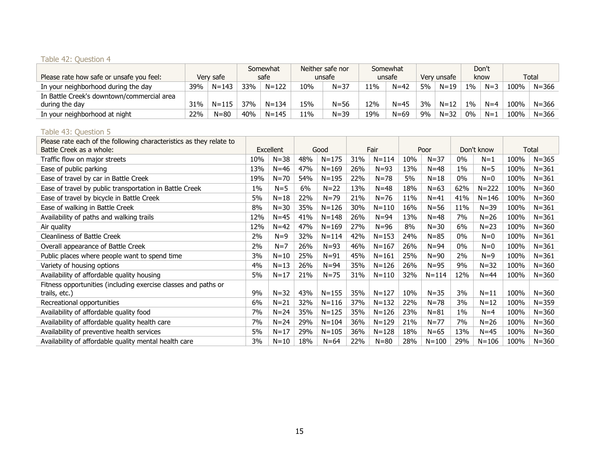# Table 42: Question 4

|                                            |     |           | Somewhat   |           |        | Neither safe nor |        | Somewhat |             |          | Don't |         |       |           |
|--------------------------------------------|-----|-----------|------------|-----------|--------|------------------|--------|----------|-------------|----------|-------|---------|-------|-----------|
| Please rate how safe or unsafe you feel:   |     | Verv safe | safe       |           | unsafe |                  | unsafe |          | Very unsafe |          | know  |         | Total |           |
| In your neighborhood during the day        | 39% | $N = 143$ | <b>33%</b> | $N = 122$ | 10%    | $N = 37$         | 11%    | $N=42$   | 5%          | $N = 19$ | 1%    | $N = 3$ | 100%  | $N = 366$ |
| In Battle Creek's downtown/commercial area |     |           |            |           |        |                  |        |          |             |          |       |         |       |           |
| during the day                             | 31% | $N = 115$ | 37%        | $N = 134$ | 15%    | $N = 56$         | 12%    | $N = 45$ | $3\%$       | $N = 12$ | 1%    | $N=4$   | 100%  | $N = 366$ |
| In your neighborhood at night              | 22% | $N = 80$  | 40%        | $N = 145$ | 11%    | $N = 39$         | 19%    | $N = 69$ | 9%          | $N = 32$ | 0%    | $N=1$   | 100%  | $N = 366$ |

## Table 43: Question 5

| Please rate each of the following characteristics as they relate to |       |           |     |           |     |           |     |           |       |            |      |           |
|---------------------------------------------------------------------|-------|-----------|-----|-----------|-----|-----------|-----|-----------|-------|------------|------|-----------|
| Battle Creek as a whole:                                            |       | Excellent |     | Good      |     | Fair      |     | Poor      |       | Don't know |      | Total     |
| Traffic flow on major streets                                       | 10%   | $N = 38$  | 48% | $N = 175$ | 31% | $N = 114$ | 10% | $N = 37$  | $0\%$ | $N=1$      | 100% | $N = 365$ |
| Ease of public parking                                              | 13%   | $N=46$    | 47% | $N = 169$ | 26% | $N = 93$  | 13% | $N = 48$  | $1\%$ | $N = 5$    | 100% | $N = 361$ |
| Ease of travel by car in Battle Creek                               | 19%   | $N = 70$  | 54% | $N = 195$ | 22% | $N = 78$  | 5%  | $N = 18$  | $0\%$ | $N=0$      | 100% | $N = 361$ |
| Ease of travel by public transportation in Battle Creek             | $1\%$ | $N=5$     | 6%  | $N = 22$  | 13% | $N = 48$  | 18% | $N = 63$  | 62%   | $N = 222$  | 100% | $N = 360$ |
| Ease of travel by bicycle in Battle Creek                           | 5%    | $N = 18$  | 22% | $N = 79$  | 21% | $N = 76$  | 11% | $N=41$    | 41%   | $N = 146$  | 100% | $N = 360$ |
| Ease of walking in Battle Creek                                     | 8%    | $N = 30$  | 35% | $N = 126$ | 30% | $N = 110$ | 16% | $N = 56$  | 11%   | $N = 39$   | 100% | $N = 361$ |
| Availability of paths and walking trails                            | 12%   | $N=45$    | 41% | $N = 148$ | 26% | $N = 94$  | 13% | $N = 48$  | 7%    | $N = 26$   | 100% | $N = 361$ |
| Air quality                                                         | 12%   | $N=42$    | 47% | $N = 169$ | 27% | $N = 96$  | 8%  | $N = 30$  | 6%    | $N = 23$   | 100% | $N = 360$ |
| <b>Cleanliness of Battle Creek</b>                                  | 2%    | $N=9$     | 32% | $N = 114$ | 42% | $N = 153$ | 24% | $N = 85$  | $0\%$ | $N=0$      | 100% | $N = 361$ |
| Overall appearance of Battle Creek                                  | 2%    | $N=7$     | 26% | $N=93$    | 46% | $N = 167$ | 26% | $N = 94$  | $0\%$ | $N=0$      | 100% | $N = 361$ |
| Public places where people want to spend time                       | 3%    | $N=10$    | 25% | $N = 91$  | 45% | $N = 161$ | 25% | $N = 90$  | 2%    | $N=9$      | 100% | $N = 361$ |
| Variety of housing options                                          | 4%    | $N = 13$  | 26% | $N = 94$  | 35% | $N = 126$ | 26% | $N = 95$  | 9%    | $N = 32$   | 100% | $N = 360$ |
| Availability of affordable quality housing                          | 5%    | $N=17$    | 21% | $N = 75$  | 31% | $N = 110$ | 32% | $N = 114$ | 12%   | $N = 44$   | 100% | $N = 360$ |
| Fitness opportunities (including exercise classes and paths or      |       |           |     |           |     |           |     |           |       |            |      |           |
| trails, etc.)                                                       | 9%    | $N = 32$  | 43% | $N = 155$ | 35% | $N = 127$ | 10% | $N = 35$  | 3%    | $N = 11$   | 100% | $N = 360$ |
| Recreational opportunities                                          | 6%    | $N = 21$  | 32% | $N = 116$ | 37% | $N = 132$ | 22% | $N = 78$  | 3%    | $N = 12$   | 100% | $N = 359$ |
| Availability of affordable quality food                             | 7%    | $N = 24$  | 35% | $N = 125$ | 35% | $N = 126$ | 23% | $N = 81$  | $1\%$ | $N=4$      | 100% | $N = 360$ |
| Availability of affordable quality health care                      | 7%    | $N = 24$  | 29% | $N = 104$ | 36% | $N = 129$ | 21% | $N = 77$  | 7%    | $N = 26$   | 100% | $N = 360$ |
| Availability of preventive health services                          | 5%    | $N=17$    | 29% | $N = 105$ | 36% | $N = 128$ | 18% | $N = 65$  | 13%   | $N = 45$   | 100% | $N = 360$ |
| Availability of affordable quality mental health care               | 3%    | $N=10$    | 18% | $N = 64$  | 22% | $N = 80$  | 28% | $N = 100$ | 29%   | $N = 106$  | 100% | $N = 360$ |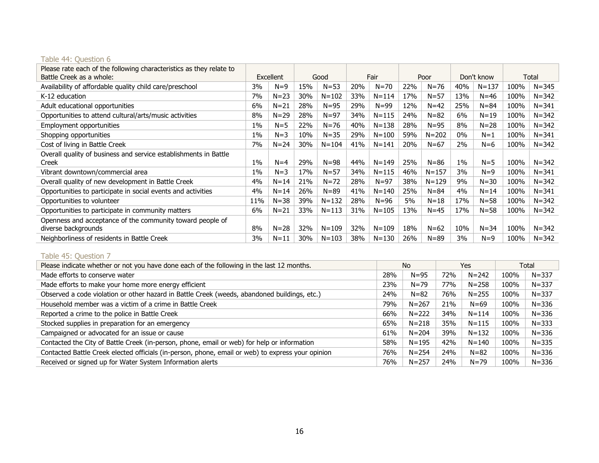# Table 44: Question 6

| Please rate each of the following characteristics as they relate to<br>Battle Creek as a whole: | Excellent |          |     | Good      |     | Fair      |     | Poor      |       | Don't know |      | Total     |
|-------------------------------------------------------------------------------------------------|-----------|----------|-----|-----------|-----|-----------|-----|-----------|-------|------------|------|-----------|
| Availability of affordable quality child care/preschool                                         | 3%        | $N=9$    | 15% | $N = 53$  | 20% | $N = 70$  | 22% | $N = 76$  | 40%   | $N = 137$  | 100% | $N = 345$ |
| K-12 education                                                                                  | 7%        | $N = 23$ | 30% | $N = 102$ | 33% | $N = 114$ | 17% | $N = 57$  | 13%   | $N = 46$   | 100% | $N = 342$ |
| Adult educational opportunities                                                                 | 6%        | $N = 21$ | 28% | $N = 95$  | 29% | $N = 99$  | 12% | $N = 42$  | 25%   | $N = 84$   | 100% | $N = 341$ |
| Opportunities to attend cultural/arts/music activities                                          | 8%        | $N = 29$ | 28% | $N = 97$  | 34% | $N = 115$ | 24% | $N = 82$  | 6%    | $N = 19$   | 100% | $N = 342$ |
| Employment opportunities                                                                        | $1\%$     | $N=5$    | 22% | $N = 76$  | 40% | $N = 138$ | 28% | $N = 95$  | 8%    | $N = 28$   | 100% | $N = 342$ |
| Shopping opportunities                                                                          | $1\%$     | $N=3$    | 10% | $N = 35$  | 29% | $N = 100$ | 59% | $N = 202$ | $0\%$ | $N=1$      | 100% | $N = 341$ |
| Cost of living in Battle Creek                                                                  | 7%        | $N = 24$ | 30% | $N = 104$ | 41% | $N = 141$ | 20% | $N = 67$  | 2%    | $N=6$      | 100% | $N = 342$ |
| Overall quality of business and service establishments in Battle<br>Creek                       | $1\%$     | $N=4$    | 29% | $N = 98$  | 44% | $N = 149$ | 25% | $N = 86$  | $1\%$ | $N = 5$    | 100% | $N = 342$ |
| Vibrant downtown/commercial area                                                                | 1%        | $N=3$    | 17% | $N = 57$  | 34% | $N = 115$ | 46% | $N = 157$ | 3%    | $N=9$      | 100% | $N = 341$ |
| Overall quality of new development in Battle Creek                                              | 4%        | $N = 14$ | 21% | $N = 72$  | 28% | $N = 97$  | 38% | $N = 129$ | 9%    | $N = 30$   | 100% | $N = 342$ |
| Opportunities to participate in social events and activities                                    | 4%        | $N = 14$ | 26% | $N = 89$  | 41% | $N = 140$ | 25% | $N = 84$  | 4%    | $N = 14$   | 100% | $N = 341$ |
| Opportunities to volunteer                                                                      | 11%       | $N = 38$ | 39% | $N = 132$ | 28% | $N = 96$  | 5%  | $N=18$    | 17%   | $N = 58$   | 100% | $N = 342$ |
| Opportunities to participate in community matters                                               | 6%        | $N = 21$ | 33% | $N = 113$ | 31% | $N = 105$ | 13% | $N=45$    | 17%   | $N = 58$   | 100% | $N = 342$ |
| Openness and acceptance of the community toward people of<br>diverse backgrounds                | 8%        | $N = 28$ | 32% | $N = 109$ | 32% | $N = 109$ | 18% | $N = 62$  | 10%   | $N = 34$   | 100% | $N = 342$ |
| Neighborliness of residents in Battle Creek                                                     | 3%        | $N = 11$ | 30% | $N = 103$ | 38% | $N = 130$ | 26% | $N = 89$  | 3%    | $N=9$      | 100% | $N = 342$ |

# Table 45: Question 7

| Please indicate whether or not you have done each of the following in the last 12 months.         | No<br>Yes |           |     | Total     |      |           |
|---------------------------------------------------------------------------------------------------|-----------|-----------|-----|-----------|------|-----------|
| Made efforts to conserve water                                                                    | 28%       | $N = 95$  | 72% | $N = 242$ | 100% | $N = 337$ |
| Made efforts to make your home more energy efficient                                              | 23%       | $N = 79$  | 77% | $N = 258$ | 100% | $N = 337$ |
| Observed a code violation or other hazard in Battle Creek (weeds, abandoned buildings, etc.)      | 24%       | $N = 82$  | 76% | $N = 255$ | 100% | $N = 337$ |
| Household member was a victim of a crime in Battle Creek                                          | 79%       | $N = 267$ | 21% | $N = 69$  | 100% | $N = 336$ |
| Reported a crime to the police in Battle Creek                                                    | 66%       | $N = 222$ | 34% | $N = 114$ | 100% | $N = 336$ |
| Stocked supplies in preparation for an emergency                                                  | 65%       | $N = 218$ | 35% | $N = 115$ | 100% | $N = 333$ |
| Campaigned or advocated for an issue or cause                                                     | 61%       | $N = 204$ | 39% | $N = 132$ | 100% | $N = 336$ |
| Contacted the City of Battle Creek (in-person, phone, email or web) for help or information       | 58%       | $N = 195$ | 42% | $N = 140$ | 100% | $N = 335$ |
| Contacted Battle Creek elected officials (in-person, phone, email or web) to express your opinion | 76%       | $N = 254$ | 24% | $N = 82$  | 100% | $N = 336$ |
| Received or signed up for Water System Information alerts                                         | 76%       | $N = 257$ | 24% | $N = 79$  | 100% | $N = 336$ |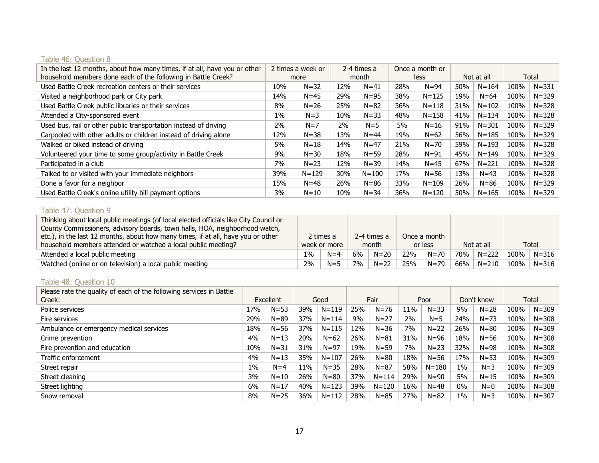# Table 46: Question 8

| In the last 12 months, about how many times, if at all, have you or other<br>household members done each of the following in Battle Creek? | 2 times a week or<br>more |           | 2-4 times a<br>month |           |     | Once a month or<br>less |     | Not at all | Total |           |
|--------------------------------------------------------------------------------------------------------------------------------------------|---------------------------|-----------|----------------------|-----------|-----|-------------------------|-----|------------|-------|-----------|
|                                                                                                                                            |                           |           |                      |           |     |                         |     |            |       |           |
| Used Battle Creek recreation centers or their services                                                                                     | 10%                       | $N = 32$  | 12%                  | $N = 41$  | 28% | $N = 94$                | 50% | $N = 164$  | 100%  | $N = 331$ |
| Visited a neighborhood park or City park                                                                                                   | 14%                       | $N=45$    | 29%                  | $N = 95$  | 38% | $N = 125$               | 19% | $N = 64$   | 100%  | $N = 329$ |
| Used Battle Creek public libraries or their services                                                                                       | 8%                        | $N = 26$  | 25%                  | $N = 82$  | 36% | $N = 118$               | 31% | $N = 102$  | 100%  | $N = 328$ |
| Attended a City-sponsored event                                                                                                            | $1\%$                     | $N = 3$   | 10%                  | $N = 33$  | 48% | $N = 158$               | 41% | $N = 134$  | 100%  | $N = 328$ |
| Used bus, rail or other public transportation instead of driving                                                                           | 2%                        | $N=7$     | 2%                   | $N = 5$   | 5%  | $N = 16$                | 91% | $N = 301$  | 100%  | $N = 329$ |
| Carpooled with other adults or children instead of driving alone                                                                           | 12%                       | $N = 38$  | 13%                  | $N = 44$  | 19% | $N = 62$                | 56% | $N = 185$  | 100%  | $N = 329$ |
| Walked or biked instead of driving                                                                                                         | 5%                        | $N = 18$  | 14%                  | $N = 47$  | 21% | $N = 70$                | 59% | $N = 193$  | 100%  | $N = 328$ |
| Volunteered your time to some group/activity in Battle Creek                                                                               | 9%                        | $N = 30$  | 18%                  | $N = 59$  | 28% | $N = 91$                | 45% | $N = 149$  | 100%  | $N = 329$ |
| Participated in a club                                                                                                                     | 7%                        | $N = 23$  | 12%                  | $N = 39$  | 14% | $N=45$                  | 67% | $N = 221$  | 100%  | $N = 328$ |
| Talked to or visited with your immediate neighbors                                                                                         | 39%                       | $N = 129$ | 30%                  | $N = 100$ | 17% | $N = 56$                | 13% | $N = 43$   | 100%  | $N = 328$ |
| Done a favor for a neighbor                                                                                                                | 15%                       | $N = 48$  | 26%                  | $N = 86$  | 33% | $N = 109$               | 26% | $N = 86$   | 100%  | $N = 329$ |
| Used Battle Creek's online utility bill payment options                                                                                    | 3%                        | $N = 10$  | 10%                  | $N = 34$  | 36% | $N = 120$               | 50% | $N = 165$  | 100%  | $N = 329$ |

# Table 47: Question 9

| Thinking about local public meetings (of local elected officials like City Council or |              |           |       |             |         |              |     |            |      |           |
|---------------------------------------------------------------------------------------|--------------|-----------|-------|-------------|---------|--------------|-----|------------|------|-----------|
| County Commissioners, advisory boards, town halls, HOA, neighborhood watch,           |              |           |       |             |         |              |     |            |      |           |
| etc.), in the last 12 months, about how many times, if at all, have you or other      |              | 2 times a |       | 2-4 times a |         | Once a month |     |            |      |           |
| household members attended or watched a local public meeting?                         | week or more |           | month |             | or less |              |     | Not at all |      | Total     |
| Attended a local public meeting                                                       | $1\%$        | $N=4$     | 6%    | $N = 20$    | 22%     | N=70         | 70% | $N = 222$  | 100% | $N = 316$ |
| Watched (online or on television) a local public meeting                              | 2%           | $N = 5$   | 7%    | $N=22$      | 25%     | $N = 79$     | 66% | $N = 210$  | 100% | $N = 316$ |

# Table 48: Question 10

| Please rate the quality of each of the following services in Battle |           |          |      |           |      |           |      |           |            |          |      |           |
|---------------------------------------------------------------------|-----------|----------|------|-----------|------|-----------|------|-----------|------------|----------|------|-----------|
| Creek:                                                              | Excellent |          | Good |           | Fair |           | Poor |           | Don't know |          |      | Total     |
| Police services                                                     | 17%       | $N = 53$ | 39%  | $N = 119$ | 25%  | $N = 76$  | 11%  | $N = 33$  | 9%         | $N = 28$ | 100% | $N = 309$ |
| Fire services                                                       | 29%       | $N = 89$ | 37%  | $N = 114$ | 9%   | $N = 27$  | 2%   | $N = 5$   | 24%        | $N = 73$ | 100% | $N = 308$ |
| Ambulance or emergency medical services                             | 18%       | $N = 56$ | 37%  | $N = 115$ | 12%  | $N = 36$  | 7%   | $N=22$    | 26%        | $N = 80$ | 100% | $N = 309$ |
| Crime prevention                                                    | 4%        | $N = 13$ | 20%  | $N = 62$  | 26%  | $N = 81$  | 31%  | $N = 96$  | 18%        | $N = 56$ | 100% | $N = 308$ |
| Fire prevention and education                                       | 10%       | $N = 31$ | 31%  | $N = 97$  | 19%  | $N = 59$  | 7%   | $N = 23$  | 32%        | $N = 98$ | 100% | $N = 308$ |
| Traffic enforcement                                                 | 4%        | $N = 13$ | 35%  | $N = 107$ | 26%  | $N = 80$  | 18%  | $N = 56$  | 17%        | $N = 53$ | 100% | $N = 309$ |
| Street repair                                                       | $1\%$     | $N=4$    | 11%  | $N = 35$  | 28%  | $N = 87$  | 58%  | $N = 180$ | $1\%$      | $N = 3$  | 100% | $N = 309$ |
| Street cleaning                                                     | 3%        | $N = 10$ | 26%  | $N = 80$  | 37%  | $N = 114$ | 29%  | $N = 90$  | 5%         | $N = 15$ | 100% | $N = 309$ |
| Street lighting                                                     | 6%        | $N = 17$ | 40%  | $N = 123$ | 39%  | $N = 120$ | 16%  | $N = 48$  | $0\%$      | $N=0$    | 100% | $N = 308$ |
| Snow removal                                                        | 8%        | $N = 25$ | 36%  | $N = 112$ | 28%  | $N = 85$  | 27%  | $N = 82$  | $1\%$      | $N=3$    | 100% | $N = 307$ |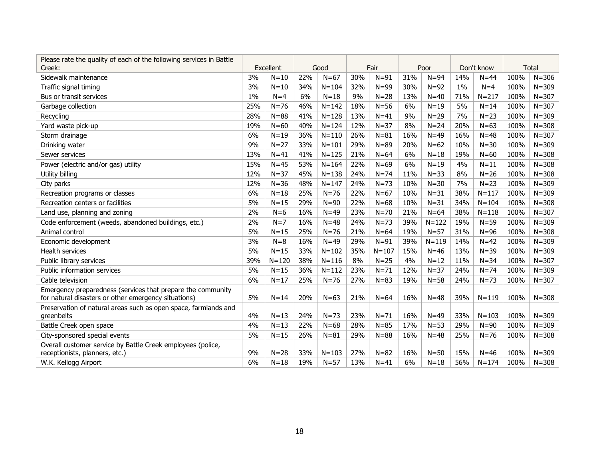| Please rate the quality of each of the following services in Battle |       |           |     |           |     |           |     |           |            |           |      |              |
|---------------------------------------------------------------------|-------|-----------|-----|-----------|-----|-----------|-----|-----------|------------|-----------|------|--------------|
| Creek:                                                              |       | Excellent |     | Good      |     | Fair      |     | Poor      | Don't know |           |      | <b>Total</b> |
| Sidewalk maintenance                                                | 3%    | $N=10$    | 22% | $N = 67$  | 30% | $N = 91$  | 31% | $N = 94$  | 14%        | $N = 44$  | 100% | $N = 306$    |
| Traffic signal timing                                               | 3%    | $N=10$    | 34% | $N = 104$ | 32% | $N = 99$  | 30% | $N = 92$  | $1\%$      | $N=4$     | 100% | $N = 309$    |
| Bus or transit services                                             | $1\%$ | $N=4$     | 6%  | $N=18$    | 9%  | $N = 28$  | 13% | $N=40$    | 71%        | $N = 217$ | 100% | $N = 307$    |
| Garbage collection                                                  | 25%   | $N = 76$  | 46% | $N = 142$ | 18% | $N = 56$  | 6%  | $N=19$    | 5%         | $N = 14$  | 100% | $N = 307$    |
| Recycling                                                           | 28%   | $N = 88$  | 41% | $N = 128$ | 13% | $N=41$    | 9%  | $N = 29$  | 7%         | $N = 23$  | 100% | $N = 309$    |
| Yard waste pick-up                                                  | 19%   | $N = 60$  | 40% | $N = 124$ | 12% | $N = 37$  | 8%  | $N = 24$  | 20%        | $N=63$    | 100% | $N = 308$    |
| Storm drainage                                                      | 6%    | $N = 19$  | 36% | $N = 110$ | 26% | $N = 81$  | 16% | $N=49$    | 16%        | $N = 48$  | 100% | $N = 307$    |
| Drinking water                                                      | 9%    | $N=27$    | 33% | $N = 101$ | 29% | $N = 89$  | 20% | $N=62$    | 10%        | $N = 30$  | 100% | $N = 309$    |
| Sewer services                                                      | 13%   | $N = 41$  | 41% | $N = 125$ | 21% | $N=64$    | 6%  | $N=18$    | 19%        | $N = 60$  | 100% | $N = 308$    |
| Power (electric and/or gas) utility                                 | 15%   | $N=45$    | 53% | $N = 164$ | 22% | $N=69$    | 6%  | $N=19$    | 4%         | $N = 11$  | 100% | $N = 308$    |
| Utility billing                                                     | 12%   | $N = 37$  | 45% | $N = 138$ | 24% | $N = 74$  | 11% | $N = 33$  | 8%         | $N = 26$  | 100% | $N = 308$    |
| City parks                                                          | 12%   | $N = 36$  | 48% | $N = 147$ | 24% | $N = 73$  | 10% | $N = 30$  | 7%         | $N = 23$  | 100% | $N = 309$    |
| Recreation programs or classes                                      | 6%    | $N = 18$  | 25% | $N=76$    | 22% | $N = 67$  | 10% | $N = 31$  | 38%        | $N = 117$ | 100% | $N = 309$    |
| Recreation centers or facilities                                    | 5%    | $N = 15$  | 29% | $N = 90$  | 22% | $N=68$    | 10% | $N = 31$  | 34%        | $N = 104$ | 100% | $N = 308$    |
| Land use, planning and zoning                                       | 2%    | $N=6$     | 16% | $N=49$    | 23% | $N = 70$  | 21% | $N=64$    | 38%        | $N = 118$ | 100% | $N = 307$    |
| Code enforcement (weeds, abandoned buildings, etc.)                 | 2%    | $N=7$     | 16% | $N = 48$  | 24% | $N = 73$  | 39% | $N = 122$ | 19%        | $N = 59$  | 100% | $N = 309$    |
| Animal control                                                      | 5%    | $N = 15$  | 25% | $N = 76$  | 21% | $N=64$    | 19% | $N = 57$  | 31%        | $N = 96$  | 100% | $N = 308$    |
| Economic development                                                | 3%    | $N=8$     | 16% | $N=49$    | 29% | $N = 91$  | 39% | $N = 119$ | 14%        | $N=42$    | 100% | $N = 309$    |
| <b>Health services</b>                                              | 5%    | $N = 15$  | 33% | $N = 102$ | 35% | $N = 107$ | 15% | $N=46$    | 13%        | $N = 39$  | 100% | $N = 309$    |
| Public library services                                             | 39%   | $N = 120$ | 38% | $N = 116$ | 8%  | $N = 25$  | 4%  | $N=12$    | 11%        | $N = 34$  | 100% | $N = 307$    |
| Public information services                                         | 5%    | $N = 15$  | 36% | $N = 112$ | 23% | $N = 71$  | 12% | $N = 37$  | 24%        | $N = 74$  | 100% | $N = 309$    |
| Cable television                                                    | 6%    | $N=17$    | 25% | $N = 76$  | 27% | $N = 83$  | 19% | $N = 58$  | 24%        | $N = 73$  | 100% | $N = 307$    |
| Emergency preparedness (services that prepare the community         |       |           |     |           |     |           |     |           |            |           |      |              |
| for natural disasters or other emergency situations)                | 5%    | $N = 14$  | 20% | $N = 63$  | 21% | $N=64$    | 16% | $N = 48$  | 39%        | $N = 119$ | 100% | $N = 308$    |
| Preservation of natural areas such as open space, farmlands and     |       |           |     |           |     |           |     |           |            |           |      |              |
| greenbelts                                                          | 4%    | $N = 13$  | 24% | $N = 73$  | 23% | $N = 71$  | 16% | $N=49$    | 33%        | $N = 103$ | 100% | $N = 309$    |
| Battle Creek open space                                             | 4%    | $N = 13$  | 22% | $N = 68$  | 28% | $N = 85$  | 17% | $N = 53$  | 29%        | $N = 90$  | 100% | $N = 309$    |
| City-sponsored special events                                       | 5%    | $N = 15$  | 26% | $N = 81$  | 29% | $N = 88$  | 16% | $N = 48$  | 25%        | $N = 76$  | 100% | $N = 308$    |
| Overall customer service by Battle Creek employees (police,         |       |           |     |           |     |           |     |           |            |           |      |              |
| receptionists, planners, etc.)                                      | 9%    | $N = 28$  | 33% | $N = 103$ | 27% | $N = 82$  | 16% | $N = 50$  | 15%        | $N = 46$  | 100% | $N = 309$    |
| W.K. Kellogg Airport                                                | 6%    | $N = 18$  | 19% | $N = 57$  | 13% | $N=41$    | 6%  | $N=18$    | 56%        | $N = 174$ | 100% | $N = 308$    |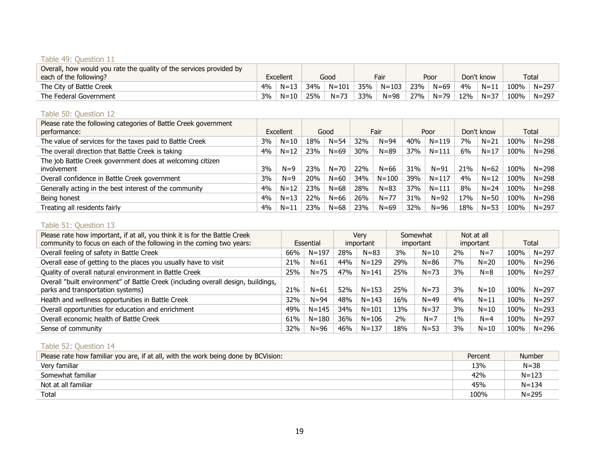#### Table 49: Question 11

| Overall, how would you rate the quality of the services provided by<br>each of the following? |    | Excellent |     | Good     |     | Fair      |     | Poor     | Don't know |          | Total |           |
|-----------------------------------------------------------------------------------------------|----|-----------|-----|----------|-----|-----------|-----|----------|------------|----------|-------|-----------|
| The City of Battle Creek                                                                      | 4% | $N = 13$  | 34% | N=101    | 35% | $N = 103$ | 23% | $N = 69$ | 4%         | $N = 11$ | .00%  | $N = 297$ |
| The Federal Government                                                                        | 3% | $N = 10$  | 25% | $N = 73$ | 33% | $N = 98$  | 27% | $N = 79$ | 12%        | $N = 37$ | 100%  | N=297     |

#### Table 50: Question 12

| Please rate the following categories of Battle Creek government<br>performance: |    | Excellent |     | Good     |     | Fair      |     | Poor      | Don't know |          | Total |           |
|---------------------------------------------------------------------------------|----|-----------|-----|----------|-----|-----------|-----|-----------|------------|----------|-------|-----------|
| The value of services for the taxes paid to Battle Creek                        | 3% | $N = 10$  | 18% | $N = 54$ | 32% | $N = 94$  | 40% | $N = 119$ | 7%         | $N = 21$ | 100%  | $N = 298$ |
| The overall direction that Battle Creek is taking                               | 4% | $N = 12$  | 23% | $N = 69$ | 30% | $N = 89$  | 37% | $N = 111$ | 6%         | $N = 17$ | 100%  | $N = 298$ |
| The job Battle Creek government does at welcoming citizen<br>involvement        | 3% | $N=9$     | 23% | $N = 70$ | 22% | $N = 66$  | 31% | $N = 91$  | 21%        | $N = 62$ | 100%  | $N = 298$ |
| Overall confidence in Battle Creek government                                   | 3% | $N=9$     | 20% | $N=60$   | 34% | $N = 100$ | 39% | $N = 117$ | 4%         | $N = 12$ | 100%  | $N = 298$ |
| Generally acting in the best interest of the community                          | 4% | $N = 12$  | 23% | $N = 68$ | 28% | $N = 83$  | 37% | $N = 111$ | 8%         | $N = 24$ | 100%  | $N = 298$ |
| Being honest                                                                    | 4% | $N = 13$  | 22% | $N = 66$ | 26% | $N = 77$  | 31% | $N = 92$  | 17%        | $N = 50$ | 100%  | $N = 298$ |
| Treating all residents fairly                                                   | 4% | $N = 11$  | 23% | $N = 68$ | 23% | $N = 69$  | 32% | $N = 96$  | 18%        | $N = 53$ | 100%  | $N = 297$ |

#### Table 51: Question 13

| Please rate how important, if at all, you think it is for the Battle Creek        |           |           | Verv      |           | Somewhat  |          | Not at all |           |       |           |
|-----------------------------------------------------------------------------------|-----------|-----------|-----------|-----------|-----------|----------|------------|-----------|-------|-----------|
| community to focus on each of the following in the coming two years:              | Essential |           | important |           | important |          |            | important | Total |           |
| Overall feeling of safety in Battle Creek                                         | 66%       | $N = 197$ | 28%       | $N = 83$  | 3%        | $N=10$   | 2%         | $N=7$     | 100%  | $N = 297$ |
| Overall ease of getting to the places you usually have to visit                   | 21%       | $N = 61$  | 44%       | $N = 129$ | 29%       | $N = 86$ | 7%         | $N = 20$  | 100%  | $N = 296$ |
| Quality of overall natural environment in Battle Creek                            | 25%       | $N = 75$  | 47%       | $N = 141$ | 25%       | $N = 73$ | 3%         | $N=8$     | 100%  | $N = 297$ |
| Overall "built environment" of Battle Creek (including overall design, buildings, |           |           |           |           |           |          |            |           |       |           |
| parks and transportation systems)                                                 | 21%       | $N = 61$  | 52%       | $N = 153$ | 25%       | $N = 73$ | 3%         | $N = 10$  | 100%  | $N = 297$ |
| Health and wellness opportunities in Battle Creek                                 | 32%       | $N = 94$  | 48%       | $N = 143$ | 16%       | $N = 49$ | $4\%$      | $N = 11$  | 100%  | $N = 297$ |
| Overall opportunities for education and enrichment                                | 49%       | $N = 145$ | 34%       | $N = 101$ | 13%       | $N = 37$ | 3%         | $N=10$    | 100%  | $N = 293$ |
| Overall economic health of Battle Creek                                           | 61%       | $N = 180$ | 36%       | $N = 106$ | 2%        | $N=7$    | $1\%$      | $N = 4$   | 100%  | $N = 297$ |
| Sense of community                                                                | 32%       | $N = 96$  | 46%       | $N = 137$ | 18%       | $N = 53$ | 3%         | $N = 10$  | 100%  | $N = 296$ |

#### Table 52: Question 14

| Please rate how familiar you are, if at all, with the work being done by BCVision: | Percent | <b>Number</b> |
|------------------------------------------------------------------------------------|---------|---------------|
| Very familiar                                                                      | 13%     | $N = 38$      |
| Somewhat familiar                                                                  | 42%     | $N = 123$     |
| Not at all familiar                                                                | 45%     | $N = 134$     |
| Total                                                                              | 100%    | $N = 295$     |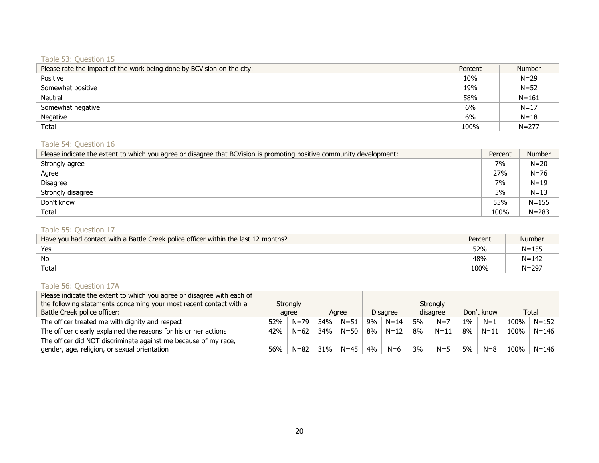#### Table 53: Question 15

| Please rate the impact of the work being done by BCVision on the city: | Percent | <b>Number</b> |
|------------------------------------------------------------------------|---------|---------------|
| Positive                                                               | 10%     | $N = 29$      |
| Somewhat positive                                                      | 19%     | $N = 52$      |
| Neutral                                                                | 58%     | $N = 161$     |
| Somewhat negative                                                      | 6%      | $N = 17$      |
| Negative                                                               | 6%      | $N=18$        |
| Total                                                                  | 100%    | $N = 277$     |

# Table 54: Question 16

| Please indicate the extent to which you agree or disagree that BCVision is promoting positive community development: | Percent | <b>Number</b> |
|----------------------------------------------------------------------------------------------------------------------|---------|---------------|
| Strongly agree                                                                                                       | 7%      | $N = 20$      |
| Agree                                                                                                                | 27%     | $N = 76$      |
| <b>Disagree</b>                                                                                                      | 7%      | $N=19$        |
| Strongly disagree                                                                                                    | 5%      | $N=13$        |
| Don't know                                                                                                           | 55%     | $N = 155$     |
| Total                                                                                                                | 100%    | $N = 283$     |

#### Table 55: Question 17

| Have you had contact with a Battle Creek police officer within the last 12 months? | Percent | <b>Number</b> |
|------------------------------------------------------------------------------------|---------|---------------|
| Yes                                                                                | 52%     | $N = 155$     |
| No                                                                                 | 48%     | $N = 142$     |
| Total                                                                              | 100%    | $N = 297$     |

# Table 56: Question 17A

| Please indicate the extent to which you agree or disagree with each of |          |          |       |          |                 |          |          |          |            |          |      |           |
|------------------------------------------------------------------------|----------|----------|-------|----------|-----------------|----------|----------|----------|------------|----------|------|-----------|
| the following statements concerning your most recent contact with a    | Strongly |          |       |          |                 |          | Strongly |          |            |          |      |           |
| Battle Creek police officer:                                           | agree    |          | Agree |          | <b>Disagree</b> |          |          | disagree | Don't know |          |      | Total     |
| The officer treated me with dignity and respect                        | 52%      | $N = 79$ | 34%   | $N = 51$ | 9%              | $N = 14$ | 5%       | $N=7$    | $1\%$      | $N=1$    | 100% | $N = 152$ |
| The officer clearly explained the reasons for his or her actions       | 42%      | $N = 62$ | 34%   | $N = 50$ | 8%              | $N = 12$ | 8%       | $N = 11$ | 8%         | $N = 11$ | 100% | $N = 146$ |
| The officer did NOT discriminate against me because of my race,        |          |          |       |          |                 |          |          |          |            |          |      |           |
| gender, age, religion, or sexual orientation                           | 56%      | $N = 82$ | 31%   | $N = 45$ | 4%              | $N=6$    | 3%       | $N = 5$  | 5%         | $N = 8$  | 100% | $N = 146$ |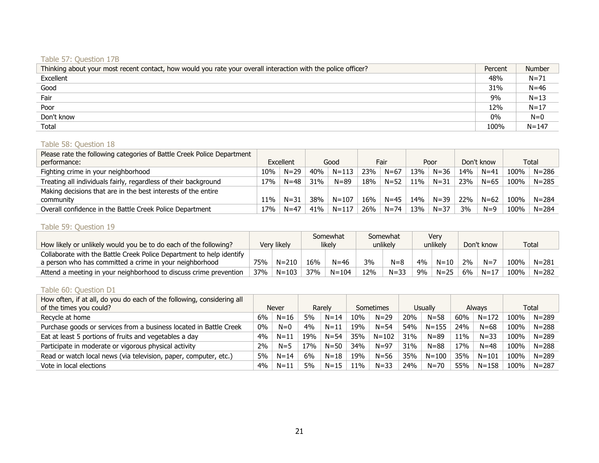# Table 57: Question 17B

| Thinking about your most recent contact, how would you rate your overall interaction with the police officer? | Percent | <b>Number</b> |
|---------------------------------------------------------------------------------------------------------------|---------|---------------|
| Excellent                                                                                                     | 48%     | $N = 71$      |
| Good                                                                                                          | 31%     | $N=46$        |
| Fair                                                                                                          | 9%      | $N=13$        |
| Poor                                                                                                          | 12%     | $N = 17$      |
| Don't know                                                                                                    | 0%      | $N=0$         |
| Total                                                                                                         | 100%    | $N = 147$     |

#### Table 58: Question 18

| Please rate the following categories of Battle Creek Police Department<br>performance: | Excellent |          | Good |           | Fair |          | Poor            |          | Don't know |          |      | Total     |
|----------------------------------------------------------------------------------------|-----------|----------|------|-----------|------|----------|-----------------|----------|------------|----------|------|-----------|
| Fighting crime in your neighborhood                                                    | 10%       | $N = 29$ | 40%  | $N = 113$ | 23%  | $N = 67$ | 13%             | $N = 36$ | 14%        | $N = 41$ | 100% | $N = 286$ |
| Treating all individuals fairly, regardless of their background                        | 17%       | $N = 48$ | 31%  | $N = 89$  | 18%  | $N = 52$ | 11%             | $N = 31$ | 23%        | $N = 65$ | 100% | $N = 285$ |
| Making decisions that are in the best interests of the entire                          |           |          |      |           |      |          |                 |          |            |          |      |           |
| community                                                                              | 11%       | $N = 31$ | 38%  | $N = 107$ | 16%  | $N=45$   | 14 <sub>%</sub> | $N = 39$ | 22%        | $N = 62$ | 100% | $N = 284$ |
| Overall confidence in the Battle Creek Police Department                               | 17%       | $N = 47$ | 41%  | $N = 117$ | 26%  | $N = 74$ | 13%             | $N = 37$ | 3%         | $N=9$    | 100% | $N = 284$ |

# Table 59: Question 19

|                                                                      |     |             |     | Somewhat  |     | Somewhat |    | Verv     |    |            |      |              |
|----------------------------------------------------------------------|-----|-------------|-----|-----------|-----|----------|----|----------|----|------------|------|--------------|
| How likely or unlikely would you be to do each of the following?     |     | Very likely |     | likelv    |     | unlikely |    | unlikely |    | Don't know |      | <b>Total</b> |
| Collaborate with the Battle Creek Police Department to help identify |     |             |     |           |     |          |    |          |    |            |      |              |
| a person who has committed a crime in your neighborhood              | 75% | $N = 210$   | 16% | $N = 46$  | 3%  | $N = 8$  | 4% | $N = 10$ | ን% | $N=7$      | 100% | $N = 281$    |
| Attend a meeting in your neighborhood to discuss crime prevention    | 37% | $N = 103$   | 37% | $N = 104$ | 12% | $N = 33$ | 9% | $N = 25$ | 6% | $N = 17$   | 100% | $N = 282$    |

# Table 60: Question D1

| How often, if at all, do you do each of the following, considering all<br>of the times you could? |    | <b>Never</b> |                 | Rarely   |     | Sometimes |     | Usually   |     | <b>Always</b> |      | Total     |
|---------------------------------------------------------------------------------------------------|----|--------------|-----------------|----------|-----|-----------|-----|-----------|-----|---------------|------|-----------|
| Recycle at home                                                                                   | 6% | $N = 16$     | 5%              | $N = 14$ | 10% | $N = 29$  | 20% | $N = 58$  | 60% | $N = 172$     | 100% | $N = 289$ |
| Purchase goods or services from a business located in Battle Creek                                | 0% | $N=0$        | 4%              | $N = 11$ | 19% | $N = 54$  | 54% | $N = 155$ | 24% | $N = 68$      | 100% | $N = 288$ |
| Eat at least 5 portions of fruits and vegetables a day                                            | 4% | $N = 11$     | 19 <sub>%</sub> | $N = 54$ | 35% | $N = 102$ | 31% | $N = 89$  | 11% | $N = 33$      | 100% | $N = 289$ |
| Participate in moderate or vigorous physical activity                                             | 2% | $N=5$        | 17%             | $N = 50$ | 34% | $N = 97$  | 31% | $N = 88$  | 17% | $N = 48$      | 100% | $N = 288$ |
| Read or watch local news (via television, paper, computer, etc.)                                  | 5% | $N = 14$     | 6%              | $N = 18$ | 19% | $N = 56$  | 35% | $N = 100$ | 35% | $N = 101$     | 100% | $N = 289$ |
| Vote in local elections                                                                           | 4% | $N = 11$     | 5%              | $N = 15$ | 11% | $N = 33$  | 24% | $N = 70$  | 55% | $N = 158$     | 100% | $N = 287$ |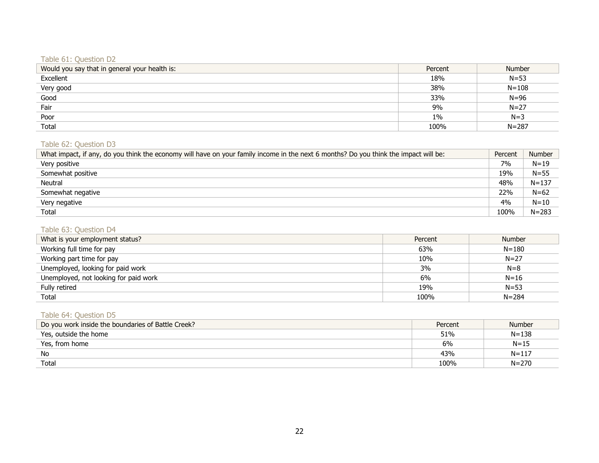# Table 61: Question D2

| Would you say that in general your health is: | Percent | <b>Number</b> |
|-----------------------------------------------|---------|---------------|
| Excellent                                     | 18%     | $N = 53$      |
| Very good                                     | 38%     | $N = 108$     |
| Good                                          | 33%     | $N = 96$      |
| Fair                                          | 9%      | $N = 27$      |
| Poor                                          | $1\%$   | $N=3$         |
| Total                                         | 100%    | $N = 287$     |

## Table 62: Question D3

| What impact, if any, do you think the economy will have on your family income in the next 6 months? Do you think the impact will be: | Percent | <b>Number</b> |
|--------------------------------------------------------------------------------------------------------------------------------------|---------|---------------|
| Very positive                                                                                                                        | 7%      | $N = 19$      |
| Somewhat positive                                                                                                                    | 19%     | $N = 55$      |
| Neutral                                                                                                                              | 48%     | $N = 137$     |
| Somewhat negative                                                                                                                    | 22%     | $N = 62$      |
| Very negative                                                                                                                        | 4%      | $N = 10$      |
| Total                                                                                                                                | 100%    | $N = 283$     |

#### Table 63: Question D4

| What is your employment status?       | Percent | <b>Number</b> |
|---------------------------------------|---------|---------------|
| Working full time for pay             | 63%     | $N = 180$     |
| Working part time for pay             | 10%     | $N = 27$      |
| Unemployed, looking for paid work     | 3%      | $N=8$         |
| Unemployed, not looking for paid work | 6%      | $N = 16$      |
| Fully retired                         | 19%     | $N = 53$      |
| Total                                 | 100%    | $N = 284$     |

# Table 64: Question D5

| Do you work inside the boundaries of Battle Creek? | Percent | <b>Number</b> |
|----------------------------------------------------|---------|---------------|
| Yes, outside the home                              | 51%     | $N = 138$     |
| Yes, from home                                     | 6%      | $N = 15$      |
| No                                                 | 43%     | $N = 117$     |
| Total                                              | 100%    | $N = 270$     |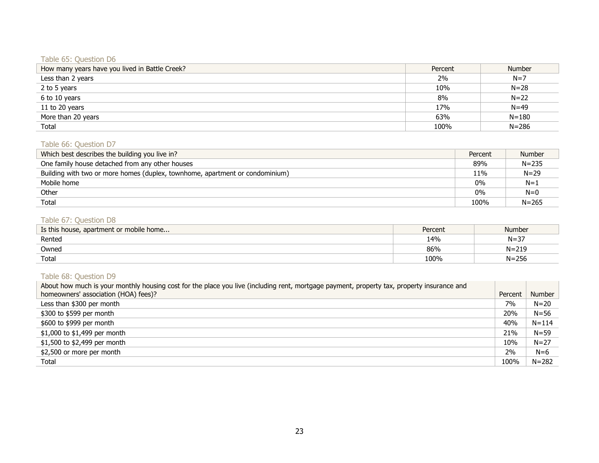# Table 65: Question D6

| How many years have you lived in Battle Creek? | Percent | <b>Number</b> |
|------------------------------------------------|---------|---------------|
| Less than 2 years                              | 2%      | $N=7$         |
| 2 to 5 years                                   | 10%     | $N = 28$      |
| 6 to 10 years                                  | 8%      | $N=22$        |
| 11 to 20 years                                 | 17%     | $N = 49$      |
| More than 20 years                             | 63%     | $N = 180$     |
| Total                                          | 100%    | $N = 286$     |

### Table 66: Question D7

| Which best describes the building you live in?                               | Percent | <b>Number</b> |
|------------------------------------------------------------------------------|---------|---------------|
| One family house detached from any other houses                              | 89%     | $N = 235$     |
| Building with two or more homes (duplex, townhome, apartment or condominium) | 11%     | $N = 29$      |
| Mobile home                                                                  | $0\%$   | $N=1$         |
| Other                                                                        | $0\%$   | $N=0$         |
| Total                                                                        | 100%    | $N = 265$     |

# Table 67: Question D8

| Is this house, apartment or mobile home | Percent | Number    |
|-----------------------------------------|---------|-----------|
| Rented                                  | 14%     | $N = 37$  |
| Owned                                   | 86%     | $N = 219$ |
| Total                                   | 100%    | $N = 256$ |

# Table 68: Question D9

| About how much is your monthly housing cost for the place you live (including rent, mortgage payment, property tax, property insurance and |         |           |
|--------------------------------------------------------------------------------------------------------------------------------------------|---------|-----------|
| homeowners' association (HOA) fees)?                                                                                                       | Percent | Number    |
| Less than \$300 per month                                                                                                                  | 7%      | $N=20$    |
| \$300 to \$599 per month                                                                                                                   | 20%     | $N = 56$  |
| \$600 to \$999 per month                                                                                                                   | 40%     | $N = 114$ |
| \$1,000 to \$1,499 per month                                                                                                               | 21%     | $N = 59$  |
| \$1,500 to \$2,499 per month                                                                                                               | 10%     | $N = 27$  |
| \$2,500 or more per month                                                                                                                  | 2%      | $N=6$     |
| Total                                                                                                                                      | 100%    | $N = 282$ |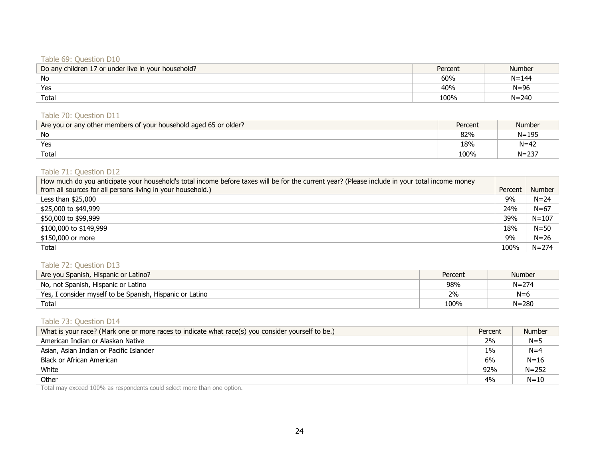#### Table 69: Question D10

| Do any children 17 or under live in your household? | Percent | <b>Number</b> |
|-----------------------------------------------------|---------|---------------|
| No                                                  | 60%     | $N = 144$     |
| Yes                                                 | 40%     | $N = 96$      |
| Total                                               | 100%    | $N = 240$     |

#### Table 70: Question D11

| Are you or any other members of your household aged 65 or older? | Percent | Number    |
|------------------------------------------------------------------|---------|-----------|
| No                                                               | 82%     | $N = 195$ |
| Yes                                                              | 18%     | $N = 42$  |
| Total                                                            | 100%    | $N = 237$ |

#### Table 71: Question D12

| How much do you anticipate your household's total income before taxes will be for the current year? (Please include in your total income money |         |               |
|------------------------------------------------------------------------------------------------------------------------------------------------|---------|---------------|
| from all sources for all persons living in your household.)                                                                                    | Percent | <b>Number</b> |
| Less than $$25,000$                                                                                                                            | 9%      | $N = 24$      |
| \$25,000 to \$49,999                                                                                                                           | 24%     | $N = 67$      |
| \$50,000 to \$99,999                                                                                                                           | 39%     | $N = 107$     |
| \$100,000 to \$149,999                                                                                                                         | 18%     | $N = 50$      |
| \$150,000 or more                                                                                                                              | 9%      | $N = 26$      |
| Total                                                                                                                                          | 100%    | $N = 274$     |

#### Table 72: Question D13

| Are you Spanish, Hispanic or Latino?                     | Percent | <b>Number</b> |
|----------------------------------------------------------|---------|---------------|
| No, not Spanish, Hispanic or Latino                      | 98%     | $N = 274$     |
| Yes, I consider myself to be Spanish, Hispanic or Latino | 2%      | $N=6$         |
| Total                                                    | 100%    | $N = 280$     |

# Table 73: Question D14

| What is your race? (Mark one or more races to indicate what race(s) you consider yourself to be.) | Percent | <b>Number</b> |
|---------------------------------------------------------------------------------------------------|---------|---------------|
| American Indian or Alaskan Native                                                                 | 2%      | $N = 5$       |
| Asian, Asian Indian or Pacific Islander                                                           | $1\%$   | $N = 4$       |
| Black or African American                                                                         | 6%      | $N = 16$      |
| White                                                                                             | 92%     | $N = 252$     |
| Other                                                                                             | 4%      | $N = 10$      |

Total may exceed 100% as respondents could select more than one option.